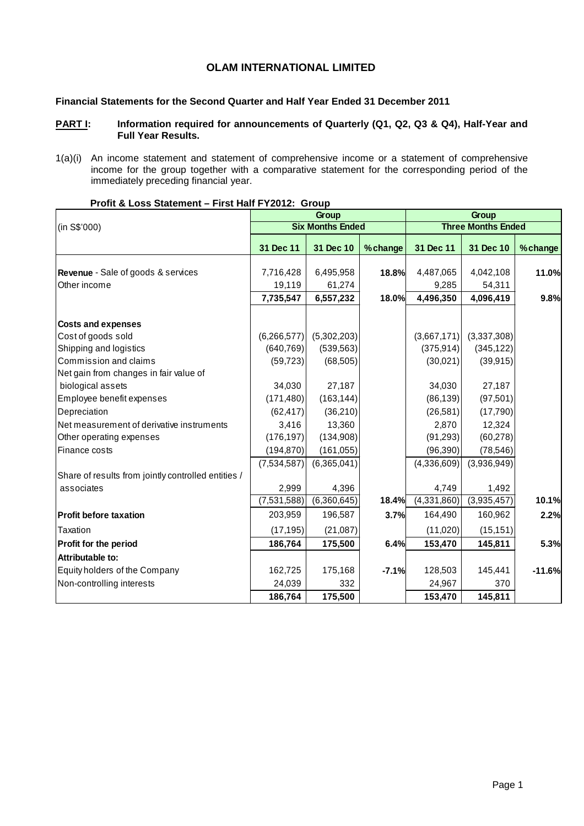## **OLAM INTERNATIONAL LIMITED**

#### **Financial Statements for the Second Quarter and Half Year Ended 31 December 2011**

## PART I: Information required for announcements of Quarterly (Q1, Q2, Q3 & Q4), Half-Year and **Full Year Results.**

1(a)(i) An income statement and statement of comprehensive income or a statement of comprehensive income for the group together with a comparative statement for the corresponding period of the immediately preceding financial year.

|                                                     |               | Group                   |         |             | Group                     |          |
|-----------------------------------------------------|---------------|-------------------------|---------|-------------|---------------------------|----------|
| (in S\$'000)                                        |               | <b>Six Months Ended</b> |         |             | <b>Three Months Ended</b> |          |
|                                                     | 31 Dec 11     | 31 Dec 10               | %change | 31 Dec 11   | 31 Dec 10                 | % change |
|                                                     |               |                         |         |             |                           |          |
| Revenue - Sale of goods & services                  | 7,716,428     | 6,495,958               | 18.8%   | 4,487,065   | 4,042,108                 | 11.0%    |
| Other income                                        | 19,119        | 61,274                  |         | 9,285       | 54,311                    |          |
|                                                     | 7,735,547     | 6,557,232               | 18.0%   | 4,496,350   | 4,096,419                 | 9.8%     |
|                                                     |               |                         |         |             |                           |          |
| <b>Costs and expenses</b>                           |               |                         |         |             |                           |          |
| Cost of goods sold                                  | (6, 266, 577) | (5,302,203)             |         | (3,667,171) | (3,337,308)               |          |
| Shipping and logistics                              | (640, 769)    | (539, 563)              |         | (375, 914)  | (345, 122)                |          |
| Commission and claims                               | (59, 723)     | (68, 505)               |         | (30,021)    | (39, 915)                 |          |
| Net gain from changes in fair value of              |               |                         |         |             |                           |          |
| biological assets                                   | 34,030        | 27,187                  |         | 34,030      | 27,187                    |          |
| Employee benefit expenses                           | (171, 480)    | (163, 144)              |         | (86, 139)   | (97, 501)                 |          |
| Depreciation                                        | (62, 417)     | (36, 210)               |         | (26, 581)   | (17,790)                  |          |
| Net measurement of derivative instruments           | 3,416         | 13,360                  |         | 2,870       | 12,324                    |          |
| Other operating expenses                            | (176, 197)    | (134,908)               |         | (91, 293)   | (60, 278)                 |          |
| Finance costs                                       | (194, 870)    | (161, 055)              |         | (96, 390)   | (78, 546)                 |          |
|                                                     | (7,534,587)   | (6,365,041)             |         | (4,336,609) | (3,936,949)               |          |
| Share of results from jointly controlled entities / |               |                         |         |             |                           |          |
| associates                                          | 2,999         | 4,396                   |         | 4,749       | 1,492                     |          |
|                                                     | (7,531,588)   | (6,360,645)             | 18.4%   | (4,331,860) | (3,935,457)               | 10.1%    |
| <b>Profit before taxation</b>                       | 203,959       | 196,587                 | 3.7%    | 164,490     | 160,962                   | 2.2%     |
| Taxation                                            | (17, 195)     | (21,087)                |         | (11,020)    | (15, 151)                 |          |
| Profit for the period                               | 186,764       | 175,500                 | 6.4%    | 153,470     | 145,811                   | 5.3%     |
| Attributable to:                                    |               |                         |         |             |                           |          |
| Equity holders of the Company                       | 162,725       | 175,168                 | $-7.1%$ | 128,503     | 145,441                   | $-11.6%$ |
| Non-controlling interests                           | 24,039        | 332                     |         | 24,967      | 370                       |          |
|                                                     | 186,764       | 175,500                 |         | 153,470     | 145,811                   |          |

### **Profit & Loss Statement – First Half FY2012: Group**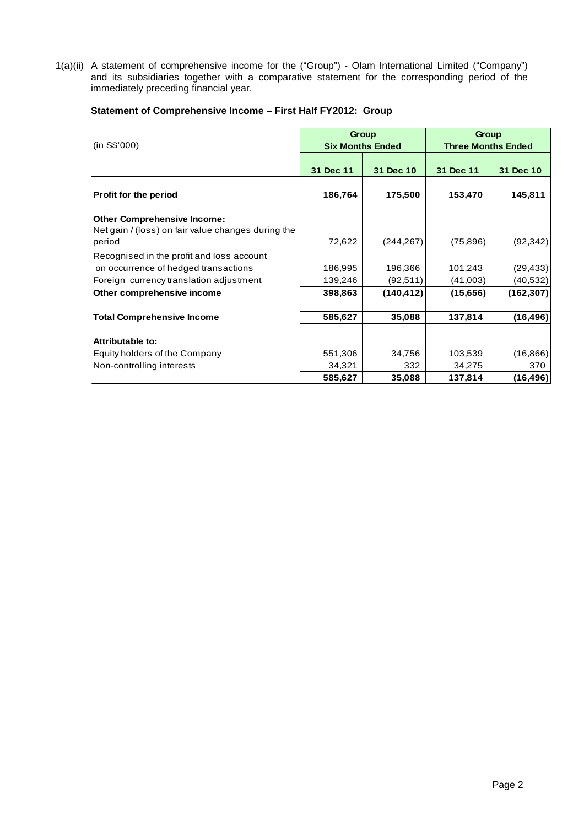1(a)(ii) A statement of comprehensive income for the ("Group") - Olam International Limited ("Company") and its subsidiaries together with a comparative statement for the corresponding period of the immediately preceding financial year.

|                                                                                                    |           | Group                   |                           | Group      |  |
|----------------------------------------------------------------------------------------------------|-----------|-------------------------|---------------------------|------------|--|
| (in S\$'000)                                                                                       |           | <b>Six Months Ended</b> | <b>Three Months Ended</b> |            |  |
|                                                                                                    | 31 Dec 11 | 31 Dec 10               | 31 Dec 11                 | 31 Dec 10  |  |
| <b>Profit for the period</b>                                                                       | 186,764   | 175,500                 | 153,470                   | 145,811    |  |
| <b>Other Comprehensive Income:</b><br>Net gain / (loss) on fair value changes during the<br>period | 72,622    | (244, 267)              | (75, 896)                 | (92, 342)  |  |
| Recognised in the profit and loss account                                                          |           |                         |                           |            |  |
| on occurrence of hedged transactions                                                               | 186,995   | 196,366                 | 101,243                   | (29, 433)  |  |
| Foreign currency translation adjustment                                                            | 139,246   | (92, 511)               | (41,003)                  | (40, 532)  |  |
| Other comprehensive income                                                                         | 398,863   | (140, 412)              | (15,656)                  | (162, 307) |  |
| <b>Total Comprehensive Income</b>                                                                  | 585,627   | 35,088                  | 137,814                   | (16, 496)  |  |
| Attributable to:                                                                                   |           |                         |                           |            |  |
| Equity holders of the Company                                                                      | 551,306   | 34,756                  | 103,539                   | (16, 866)  |  |
| Non-controlling interests                                                                          | 34,321    | 332                     | 34,275                    | 370        |  |
|                                                                                                    | 585,627   | 35,088                  | 137,814                   | (16,496)   |  |

## **Statement of Comprehensive Income – First Half FY2012: Group**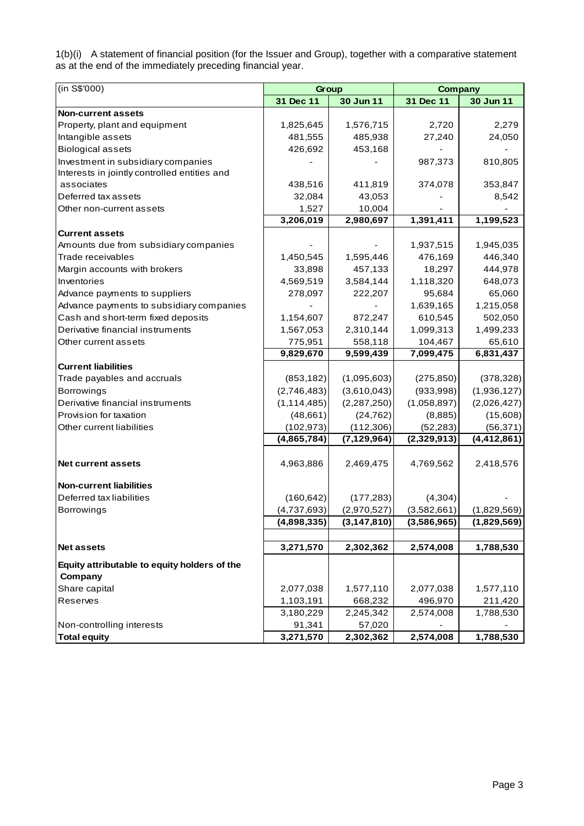1(b)(i) A statement of financial position (for the Issuer and Group), together with a comparative statement as at the end of the immediately preceding financial year.

| (in S\$'000)                                 | Group         |               | <b>Company</b> |               |
|----------------------------------------------|---------------|---------------|----------------|---------------|
|                                              | 31 Dec 11     | 30 Jun 11     | 31 Dec 11      | 30 Jun 11     |
| <b>Non-current assets</b>                    |               |               |                |               |
| Property, plant and equipment                | 1,825,645     | 1,576,715     | 2,720          | 2,279         |
| Intangible assets                            | 481,555       | 485,938       | 27,240         | 24,050        |
| <b>Biological assets</b>                     | 426,692       | 453,168       |                |               |
| Investment in subsidiary companies           |               |               | 987,373        | 810,805       |
| Interests in jointly controlled entities and |               |               |                |               |
| associates                                   | 438,516       | 411,819       | 374,078        | 353,847       |
| Deferred tax assets                          | 32,084        | 43,053        |                | 8,542         |
| Other non-current assets                     | 1,527         | 10,004        |                |               |
|                                              | 3,206,019     | 2,980,697     | 1,391,411      | 1,199,523     |
| <b>Current assets</b>                        |               |               |                |               |
| Amounts due from subsidiary companies        |               |               | 1,937,515      | 1,945,035     |
| Trade receivables                            | 1,450,545     | 1,595,446     | 476,169        | 446,340       |
| Margin accounts with brokers                 | 33,898        | 457,133       | 18,297         | 444,978       |
| Inventories                                  | 4,569,519     | 3,584,144     | 1,118,320      | 648,073       |
| Advance payments to suppliers                | 278,097       | 222,207       | 95,684         | 65,060        |
| Advance payments to subsidiary companies     |               |               | 1,639,165      | 1,215,058     |
| Cash and short-term fixed deposits           | 1,154,607     | 872,247       | 610,545        | 502,050       |
| Derivative financial instruments             | 1,567,053     | 2,310,144     | 1,099,313      | 1,499,233     |
| Other current assets                         | 775,951       | 558,118       | 104,467        | 65,610        |
|                                              | 9,829,670     | 9,599,439     | 7,099,475      | 6,831,437     |
| <b>Current liabilities</b>                   |               |               |                |               |
| Trade payables and accruals                  | (853, 182)    | (1,095,603)   | (275, 850)     | (378, 328)    |
| <b>Borrowings</b>                            | (2,746,483)   | (3,610,043)   | (933, 998)     | (1,936,127)   |
| Derivative financial instruments             | (1, 114, 485) | (2,287,250)   | (1,058,897)    | (2,026,427)   |
| Provision for taxation                       | (48, 661)     | (24, 762)     | (8,885)        | (15,608)      |
| Other current liabilities                    | (102, 973)    | (112, 306)    | (52, 283)      | (56, 371)     |
|                                              | (4,865,784)   | (7, 129, 964) | (2,329,913)    | (4, 412, 861) |
|                                              |               |               |                |               |
| <b>Net current assets</b>                    | 4,963,886     | 2,469,475     | 4,769,562      | 2,418,576     |
| <b>Non-current liabilities</b>               |               |               |                |               |
| Deferred tax liabilities                     | (160, 642)    | (177, 283)    | (4, 304)       |               |
| <b>Borrowings</b>                            | (4,737,693)   | (2,970,527)   | (3,582,661)    | (1,829,569)   |
|                                              | (4,898,335)   | (3, 147, 810) | (3,586,965)    | (1,829,569)   |
|                                              |               |               |                |               |
| <b>Net assets</b>                            | 3,271,570     | 2,302,362     | 2,574,008      | 1,788,530     |
| Equity attributable to equity holders of the |               |               |                |               |
| Company                                      |               |               |                |               |
| Share capital                                | 2,077,038     | 1,577,110     | 2,077,038      | 1,577,110     |
| Reserves                                     | 1,103,191     | 668,232       | 496,970        | 211,420       |
|                                              | 3,180,229     | 2,245,342     | 2,574,008      | 1,788,530     |
| Non-controlling interests                    | 91,341        | 57,020        |                |               |
| <b>Total equity</b>                          | 3,271,570     | 2,302,362     | 2,574,008      | 1,788,530     |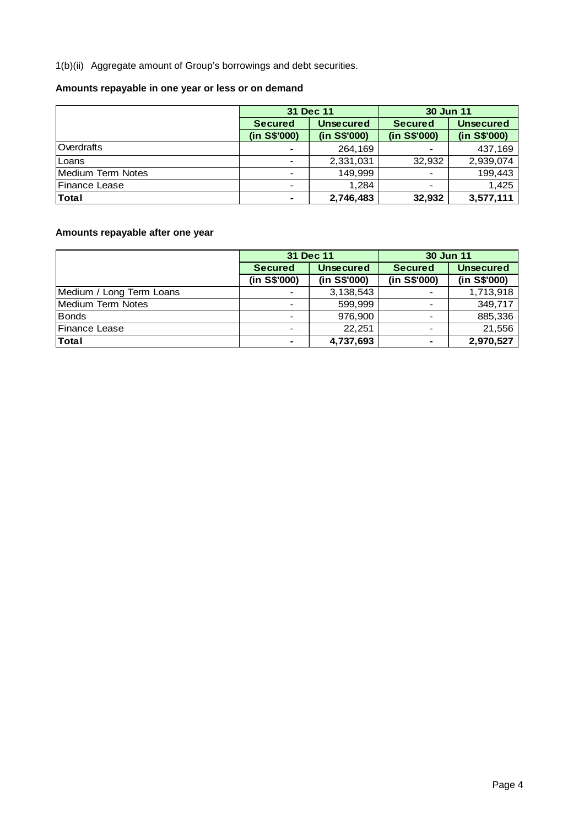1(b)(ii) Aggregate amount of Group's borrowings and debt securities.

# **Amounts repayable in one year or less or on demand**

|                          |                | 31 Dec 11        | 30 Jun 11                |                  |
|--------------------------|----------------|------------------|--------------------------|------------------|
|                          | <b>Secured</b> | <b>Unsecured</b> | <b>Secured</b>           | <b>Unsecured</b> |
|                          | (in S\$'000)   | (in S\$'000)     | (in S\$'000)             | (in S\$'000)     |
| <b>Overdrafts</b>        |                | 264,169          |                          | 437,169          |
| Loans                    |                | 2,331,031        | 32,932                   | 2,939,074        |
| <b>Medium Term Notes</b> |                | 149.999          | $\overline{\phantom{0}}$ | 199,443          |
| Finance Lease            |                | 1.284            | ۰                        | 1,425            |
| <b>Total</b>             | ٠              | 2,746,483        | 32,932                   | 3,577,111        |

# **Amounts repayable after one year**

|                          |                | 31 Dec 11        | 30 Jun 11      |                  |  |  |
|--------------------------|----------------|------------------|----------------|------------------|--|--|
|                          | <b>Secured</b> | <b>Unsecured</b> | <b>Secured</b> | <b>Unsecured</b> |  |  |
|                          | (in S\$'000)   | (in S\$'000)     | (in S\$'000)   | (in S\$'000)     |  |  |
| Medium / Long Term Loans |                | 3,138,543        |                | 1,713,918        |  |  |
| Medium Term Notes        |                | 599,999          |                | 349,717          |  |  |
| <b>Bonds</b>             |                | 976,900          |                | 885,336          |  |  |
| Finance Lease            |                | 22,251           |                | 21,556           |  |  |
| <b>Total</b>             | ۰              | 4,737,693        | ۰              | 2,970,527        |  |  |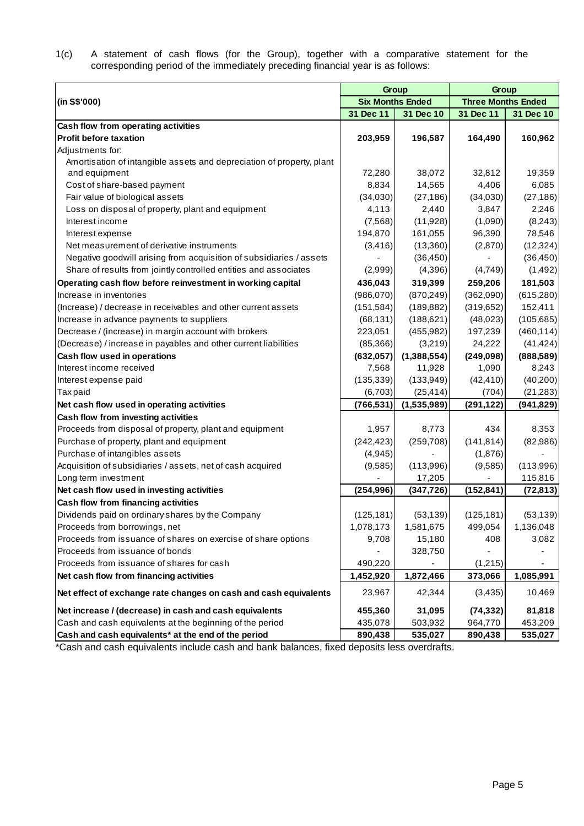1(c) A statement of cash flows (for the Group), together with a comparative statement for the corresponding period of the immediately preceding financial year is as follows:

|                                                                       |                         | Group       | Group                     |            |  |  |
|-----------------------------------------------------------------------|-------------------------|-------------|---------------------------|------------|--|--|
| (in S\$'000)                                                          | <b>Six Months Ended</b> |             | <b>Three Months Ended</b> |            |  |  |
|                                                                       | 31 Dec 11               | 31 Dec 10   | 31 Dec 11                 | 31 Dec 10  |  |  |
| Cash flow from operating activities                                   |                         |             |                           |            |  |  |
| <b>Profit before taxation</b>                                         | 203,959                 | 196,587     | 164,490                   | 160,962    |  |  |
| Adjustments for:                                                      |                         |             |                           |            |  |  |
| Amortisation of intangible assets and depreciation of property, plant |                         |             |                           |            |  |  |
| and equipment                                                         | 72,280                  | 38,072      | 32,812                    | 19,359     |  |  |
| Cost of share-based payment                                           | 8,834                   | 14,565      | 4,406                     | 6,085      |  |  |
| Fair value of biological assets                                       | (34,030)                | (27, 186)   | (34,030)                  | (27, 186)  |  |  |
| Loss on disposal of property, plant and equipment                     | 4,113                   | 2,440       | 3,847                     | 2,246      |  |  |
| Interest income                                                       | (7, 568)                | (11,928)    | (1,090)                   | (8,243)    |  |  |
| Interest expense                                                      | 194,870                 | 161,055     | 96,390                    | 78,546     |  |  |
| Net measurement of derivative instruments                             | (3, 416)                | (13,360)    | (2,870)                   | (12, 324)  |  |  |
| Negative goodwill arising from acquisition of subsidiaries / assets   |                         | (36, 450)   |                           | (36, 450)  |  |  |
| Share of results from jointly controlled entities and associates      | (2,999)                 | (4,396)     | (4,749)                   | (1, 492)   |  |  |
| Operating cash flow before reinvestment in working capital            | 436,043                 | 319,399     | 259,206                   | 181,503    |  |  |
| Increase in inventories                                               | (986,070)               | (870, 249)  | (362,090)                 | (615, 280) |  |  |
| (Increase) / decrease in receivables and other current assets         | (151, 584)              | (189, 882)  | (319, 652)                | 152,411    |  |  |
| Increase in advance payments to suppliers                             | (68, 131)               | (188, 621)  | (48, 023)                 | (105, 685) |  |  |
| Decrease / (increase) in margin account with brokers                  | 223,051                 | (455, 982)  | 197,239                   | (460, 114) |  |  |
| (Decrease) / increase in payables and other current liabilities       | (85, 366)               | (3,219)     | 24,222                    | (41, 424)  |  |  |
| Cash flow used in operations                                          | (632, 057)              | (1,388,554) | (249, 098)                | (888, 589) |  |  |
| Interest income received                                              | 7,568                   | 11,928      | 1,090                     | 8,243      |  |  |
| Interest expense paid                                                 | (135, 339)              | (133,949)   | (42, 410)                 | (40,200)   |  |  |
| <b>Taxpaid</b>                                                        | (6,703)                 | (25, 414)   | (704)                     | (21, 283)  |  |  |
| Net cash flow used in operating activities                            | (766, 531)              | (1,535,989) | (291, 122)                | (941, 829) |  |  |
| Cash flow from investing activities                                   |                         |             |                           |            |  |  |
| Proceeds from disposal of property, plant and equipment               | 1,957                   | 8,773       | 434                       | 8,353      |  |  |
| Purchase of property, plant and equipment                             | (242, 423)              | (259, 708)  | (141, 814)                | (82,986)   |  |  |
| Purchase of intangibles assets                                        | (4, 945)                |             | (1,876)                   |            |  |  |
| Acquisition of subsidiaries / assets, net of cash acquired            | (9,585)                 | (113,996)   | (9,585)                   | (113,996)  |  |  |
| Long term investment                                                  |                         | 17,205      |                           | 115,816    |  |  |
| Net cash flow used in investing activities                            | (254, 996)              | (347, 726)  | (152, 841)                | (72, 813)  |  |  |
| Cash flow from financing activities                                   |                         |             |                           |            |  |  |
| Dividends paid on ordinary shares by the Company                      | (125, 181)              | (53, 139)   | (125, 181)                | (53, 139)  |  |  |
| Proceeds from borrowings, net                                         | 1,078,173               | 1,581,675   | 499,054                   | 1,136,048  |  |  |
| Proceeds from issuance of shares on exercise of share options         | 9,708                   | 15,180      | 408                       | 3,082      |  |  |
| Proceeds from issuance of bonds                                       |                         | 328,750     |                           |            |  |  |
| Proceeds from issuance of shares for cash                             | 490,220                 |             | (1,215)                   |            |  |  |
| Net cash flow from financing activities                               | 1,452,920               | 1,872,466   | 373,066                   | 1,085,991  |  |  |
| Net effect of exchange rate changes on cash and cash equivalents      | 23,967                  | 42,344      | (3, 435)                  | 10,469     |  |  |
| Net increase / (decrease) in cash and cash equivalents                | 455,360                 | 31,095      | (74, 332)                 | 81,818     |  |  |
| Cash and cash equivalents at the beginning of the period              | 435,078                 | 503,932     | 964,770                   | 453,209    |  |  |
| Cash and cash equivalents* at the end of the period                   | 890,438                 | 535,027     | 890,438                   | 535,027    |  |  |

\*Cash and cash equivalents include cash and bank balances, fixed deposits less overdrafts.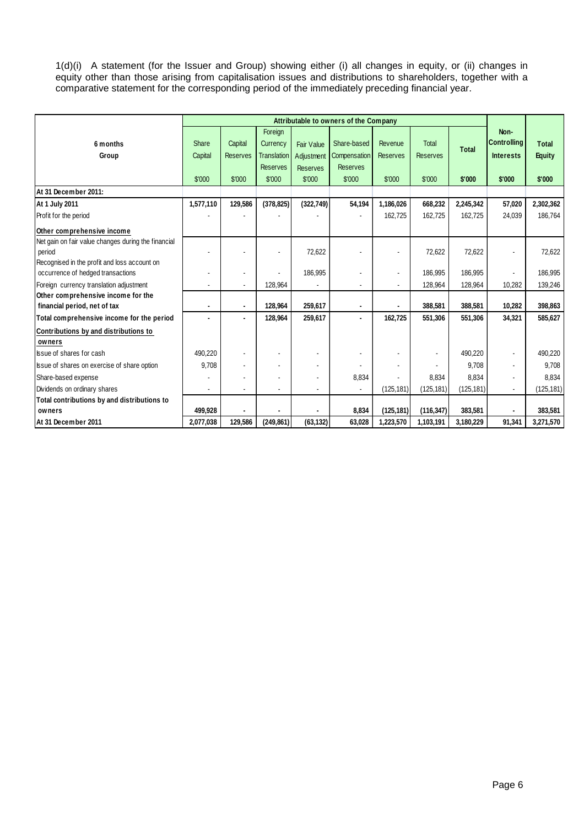1(d)(i) A statement (for the Issuer and Group) showing either (i) all changes in equity, or (ii) changes in equity other than those arising from capitalisation issues and distributions to shareholders, together with a comparative statement for the corresponding period of the immediately preceding financial year.

|                                                     |           |                 |                    |                   | Attributable to owners of the Company |                 |                 |              |                    |               |
|-----------------------------------------------------|-----------|-----------------|--------------------|-------------------|---------------------------------------|-----------------|-----------------|--------------|--------------------|---------------|
|                                                     |           |                 | Foreign            |                   |                                       |                 |                 |              | Non-               |               |
| 6 months                                            | Share     | Capital         | Currency           | <b>Fair Value</b> | Share-based                           | Revenue         | <b>Total</b>    | <b>Total</b> | <b>Controlling</b> | <b>Total</b>  |
| Group                                               | Capital   | <b>Reserves</b> | <b>Translation</b> | Adjustment        | Compensation                          | <b>Reserves</b> | <b>Reserves</b> |              | <b>Interests</b>   | <b>Equity</b> |
|                                                     |           |                 | <b>Reserves</b>    | <b>Reserves</b>   | <b>Reserves</b>                       |                 |                 |              |                    |               |
|                                                     | \$'000    | \$'000          | \$'000             | \$'000            | \$'000                                | \$'000          | \$'000          | \$'000       | \$'000             | \$'000        |
| At 31 December 2011:                                |           |                 |                    |                   |                                       |                 |                 |              |                    |               |
| At 1 July 2011                                      | 1,577,110 | 129,586         | (378, 825)         | (322, 749)        | 54,194                                | 1,186,026       | 668,232         | 2,245,342    | 57,020             | 2,302,362     |
| Profit for the period                               |           |                 |                    |                   |                                       | 162,725         | 162,725         | 162,725      | 24,039             | 186,764       |
| Other comprehensive income                          |           |                 |                    |                   |                                       |                 |                 |              |                    |               |
| Net gain on fair value changes during the financial |           |                 |                    |                   |                                       |                 |                 |              |                    |               |
| period                                              |           |                 |                    | 72,622            |                                       |                 | 72,622          | 72,622       |                    | 72,622        |
| Recognised in the profit and loss account on        |           |                 |                    |                   |                                       |                 |                 |              |                    |               |
| occurrence of hedged transactions                   |           |                 |                    | 186,995           |                                       |                 | 186.995         | 186,995      |                    | 186,995       |
| Foreign currency translation adjustment             |           |                 | 128,964            |                   |                                       |                 | 128,964         | 128,964      | 10,282             | 139,246       |
| Other comprehensive income for the                  |           |                 |                    |                   |                                       |                 |                 |              |                    |               |
| financial period, net of tax                        |           |                 | 128,964            | 259,617           | $\blacksquare$                        |                 | 388,581         | 388,581      | 10,282             | 398,863       |
| Total comprehensive income for the period           |           |                 | 128,964            | 259,617           | $\blacksquare$                        | 162,725         | 551,306         | 551,306      | 34,321             | 585,627       |
| Contributions by and distributions to               |           |                 |                    |                   |                                       |                 |                 |              |                    |               |
| owners                                              |           |                 |                    |                   |                                       |                 |                 |              |                    |               |
| Issue of shares for cash                            | 490,220   |                 | ٠                  | $\blacksquare$    |                                       |                 |                 | 490,220      |                    | 490,220       |
| Issue of shares on exercise of share option         | 9,708     |                 |                    |                   |                                       |                 |                 | 9,708        |                    | 9,708         |
| Share-based expense                                 |           |                 | ÷                  | $\blacksquare$    | 8,834                                 |                 | 8,834           | 8,834        | ٠                  | 8,834         |
| Dividends on ordinary shares                        |           |                 |                    | ä,                | $\blacksquare$                        | (125, 181)      | (125, 181)      | (125, 181)   |                    | (125, 181)    |
| Total contributions by and distributions to         |           |                 |                    |                   |                                       |                 |                 |              |                    |               |
| owners                                              | 499,928   |                 |                    |                   | 8,834                                 | (125, 181)      | (116, 347)      | 383,581      |                    | 383,581       |
| At 31 December 2011                                 | 2,077,038 | 129,586         | (249, 861)         | (63, 132)         | 63,028                                | 1,223,570       | 1,103,191       | 3,180,229    | 91,341             | 3,271,570     |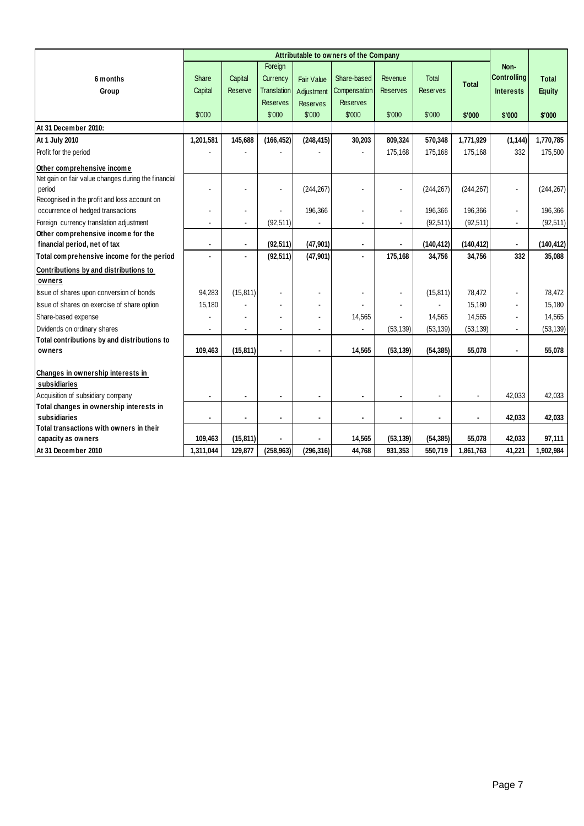|                                                         |                |                |                    |                   | Attributable to owners of the Company |                 |                 |              |                    |               |
|---------------------------------------------------------|----------------|----------------|--------------------|-------------------|---------------------------------------|-----------------|-----------------|--------------|--------------------|---------------|
|                                                         |                |                | Foreign            |                   |                                       |                 |                 |              | Non-               |               |
| 6 months                                                | Share          | Capital        | Currency           | <b>Fair Value</b> | Share-based                           | Revenue         | <b>Total</b>    | <b>Total</b> | <b>Controlling</b> | <b>Total</b>  |
| Group                                                   | Capital        | Reserve        | <b>Translation</b> | Adjustment        | Compensation                          | <b>Reserves</b> | <b>Reserves</b> |              | <b>Interests</b>   | <b>Equity</b> |
|                                                         |                |                | <b>Reserves</b>    | <b>Reserves</b>   | <b>Reserves</b>                       |                 |                 |              |                    |               |
|                                                         | \$'000         |                | \$'000             | \$'000            | \$'000                                | \$'000          | \$'000          | \$'000       | \$'000             | \$'000        |
| At 31 December 2010:                                    |                |                |                    |                   |                                       |                 |                 |              |                    |               |
| At 1 July 2010                                          | 1,201,581      | 145,688        | (166, 452)         | (248, 415)        | 30,203                                | 809,324         | 570,348         | 1,771,929    | (1, 144)           | 1,770,785     |
| Profit for the period                                   |                |                |                    |                   |                                       | 175,168         | 175,168         | 175,168      | 332                | 175,500       |
| Other comprehensive income                              |                |                |                    |                   |                                       |                 |                 |              |                    |               |
| Net gain on fair value changes during the financial     |                |                |                    |                   |                                       |                 |                 |              |                    |               |
| period                                                  |                |                |                    | (244, 267)        | ÷.                                    |                 | (244, 267)      | (244, 267)   |                    | (244, 267)    |
| Recognised in the profit and loss account on            |                |                |                    |                   |                                       |                 |                 |              |                    |               |
| occurrence of hedged transactions                       |                | ä,             |                    | 196,366           | $\blacksquare$                        | $\blacksquare$  | 196,366         | 196,366      | $\blacksquare$     | 196,366       |
| Foreign currency translation adjustment                 | ٠              |                | (92, 511)          |                   | $\sim$                                |                 | (92, 511)       | (92, 511)    |                    | (92, 511)     |
| Other comprehensive income for the                      |                |                |                    |                   |                                       |                 |                 |              |                    |               |
| financial period, net of tax                            | $\blacksquare$ | $\blacksquare$ | (92, 511)          | (47, 901)         | $\blacksquare$                        |                 | (140, 412)      | (140, 412)   |                    | (140, 412)    |
| Total comprehensive income for the period               |                |                | (92, 511)          | (47, 901)         | $\blacksquare$                        | 175,168         | 34,756          | 34,756       | 332                | 35,088        |
| Contributions by and distributions to                   |                |                |                    |                   |                                       |                 |                 |              |                    |               |
| owners                                                  |                |                |                    |                   |                                       |                 |                 |              |                    |               |
| Issue of shares upon conversion of bonds                | 94,283         | (15, 811)      |                    |                   |                                       |                 | (15, 811)       | 78.472       | $\blacksquare$     | 78,472        |
| Issue of shares on exercise of share option             | 15,180         |                |                    |                   |                                       |                 |                 | 15,180       |                    | 15,180        |
| Share-based expense                                     |                |                |                    |                   | 14,565                                |                 | 14,565          | 14,565       |                    | 14,565        |
| Dividends on ordinary shares                            | ä,             |                |                    |                   |                                       | (53, 139)       | (53, 139)       | (53, 139)    |                    | (53, 139)     |
| Total contributions by and distributions to             |                |                |                    |                   |                                       |                 |                 |              |                    |               |
| owners                                                  | 109,463        | (15, 811)      | $\blacksquare$     | ٠                 | 14,565                                | (53, 139)       | (54, 385)       | 55,078       | $\blacksquare$     | 55,078        |
|                                                         |                |                |                    |                   |                                       |                 |                 |              |                    |               |
| Changes in ownership interests in                       |                |                |                    |                   |                                       |                 |                 |              |                    |               |
| subsidiaries                                            |                |                |                    |                   |                                       |                 |                 |              |                    |               |
| Acquisition of subsidiary company                       | $\blacksquare$ |                |                    |                   | $\blacksquare$                        |                 |                 | ä,           | 42,033             | 42,033        |
| Total changes in ownership interests in                 |                |                |                    |                   |                                       |                 |                 |              |                    |               |
| subsidiaries<br>Total transactions with owners in their | ۰              | $\blacksquare$ | $\blacksquare$     | ٠                 | $\blacksquare$                        | $\blacksquare$  |                 | ٠            | 42,033             | 42,033        |
| capacity as owners                                      | 109,463        | (15, 811)      |                    |                   | 14,565                                | (53, 139)       | (54, 385)       | 55,078       | 42,033             | 97,111        |
|                                                         | 1.311.044      |                |                    |                   |                                       |                 |                 |              |                    |               |
| At 31 December 2010                                     |                | 129,877        | (258, 963)         | (296, 316)        | 44,768                                | 931,353         | 550,719         | 1,861,763    | 41,221             | 1,902,984     |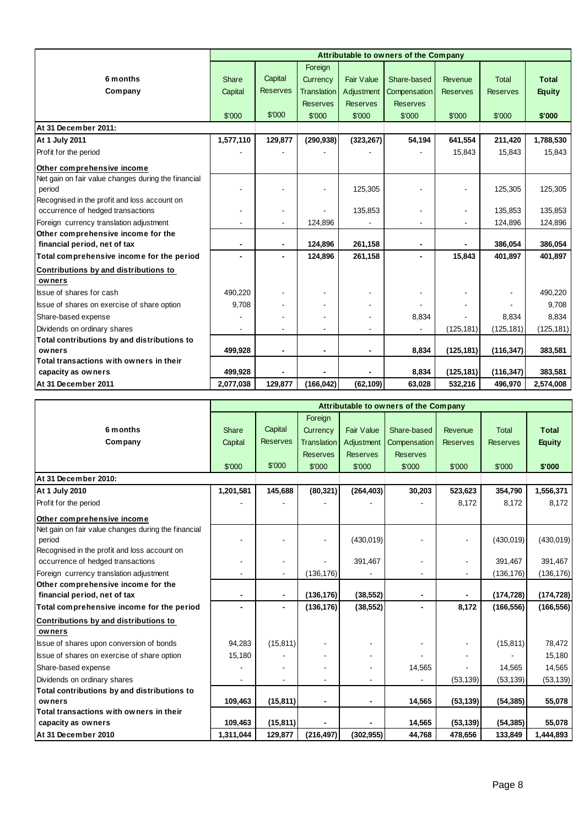|                                                     |                |                 |                    |                   | Attributable to owners of the Company |                              |                 |               |
|-----------------------------------------------------|----------------|-----------------|--------------------|-------------------|---------------------------------------|------------------------------|-----------------|---------------|
|                                                     |                |                 | Foreign            |                   |                                       |                              |                 |               |
| 6 months                                            | <b>Share</b>   | Capital         | Currency           | <b>Fair Value</b> | Share-based                           | Revenue                      | <b>Total</b>    | <b>Total</b>  |
| Company                                             | Capital        | <b>Reserves</b> | <b>Translation</b> | Adjustment        | Compensation                          | <b>Reserves</b>              | <b>Reserves</b> | <b>Equity</b> |
|                                                     |                |                 | <b>Reserves</b>    | <b>Reserves</b>   | <b>Reserves</b>                       |                              |                 |               |
|                                                     | \$'000         | \$'000          | \$'000             | \$'000            | \$'000                                | \$'000                       | \$'000          | \$'000        |
| At 31 December 2011:                                |                |                 |                    |                   |                                       |                              |                 |               |
| At 1 July 2011                                      | 1,577,110      | 129,877         | (290, 938)         | (323, 267)        | 54,194                                | 641,554                      | 211,420         | 1,788,530     |
| Profit for the period                               |                |                 |                    |                   |                                       | 15,843                       | 15,843          | 15,843        |
| Other comprehensive income                          |                |                 |                    |                   |                                       |                              |                 |               |
| Net gain on fair value changes during the financial |                |                 |                    |                   |                                       |                              |                 |               |
| period                                              |                |                 | ä,                 | 125,305           |                                       |                              | 125,305         | 125,305       |
| Recognised in the profit and loss account on        |                |                 |                    |                   |                                       |                              |                 |               |
| occurrence of hedged transactions                   |                | $\blacksquare$  |                    | 135,853           |                                       | $\qquad \qquad \blacksquare$ | 135.853         | 135,853       |
| Foreign currency translation adjustment             |                |                 | 124,896            |                   |                                       | ٠                            | 124,896         | 124,896       |
| Other comprehensive income for the                  |                |                 |                    |                   |                                       |                              |                 |               |
| financial period, net of tax                        |                | $\overline{a}$  | 124,896            | 261,158           | $\blacksquare$                        |                              | 386,054         | 386,054       |
| Total comprehensive income for the period           | $\blacksquare$ |                 | 124,896            | 261,158           | $\blacksquare$                        | 15,843                       | 401,897         | 401,897       |
| Contributions by and distributions to               |                |                 |                    |                   |                                       |                              |                 |               |
| owners                                              |                |                 |                    |                   |                                       |                              |                 |               |
| Issue of shares for cash                            | 490,220        |                 |                    |                   |                                       |                              |                 | 490,220       |
| Issue of shares on exercise of share option         | 9,708          |                 |                    |                   |                                       |                              |                 | 9,708         |
| Share-based expense                                 |                |                 |                    |                   | 8,834                                 |                              | 8,834           | 8,834         |
| Dividends on ordinary shares                        |                |                 |                    |                   |                                       | (125, 181)                   | (125, 181)      | (125, 181)    |
| Total contributions by and distributions to         |                |                 |                    |                   |                                       |                              |                 |               |
| owners                                              | 499,928        | $\blacksquare$  | $\blacksquare$     |                   | 8,834                                 | (125, 181)                   | (116, 347)      | 383,581       |
| Total transactions with owners in their             |                |                 |                    |                   |                                       |                              |                 |               |
| capacity as owners                                  | 499,928        |                 |                    |                   | 8,834                                 | (125, 181)                   | (116, 347)      | 383,581       |
| At 31 December 2011                                 | 2,077,038      | 129,877         | (166, 042)         | (62, 109)         | 63,028                                | 532,216                      | 496,970         | 2,574,008     |

|                                                     |           |                 |                    |                   | Attributable to owners of the Company |                          |                 |               |
|-----------------------------------------------------|-----------|-----------------|--------------------|-------------------|---------------------------------------|--------------------------|-----------------|---------------|
|                                                     |           |                 | Foreign            |                   |                                       |                          |                 |               |
| 6 months                                            | Share     | Capital         | Currency           | <b>Fair Value</b> | Share-based                           | Revenue                  | <b>Total</b>    | <b>Total</b>  |
| Company                                             | Capital   | <b>Reserves</b> | <b>Translation</b> | Adjustment        | Compensation                          | <b>Reserves</b>          | <b>Reserves</b> | <b>Equity</b> |
|                                                     |           |                 | <b>Reserves</b>    | <b>Reserves</b>   | <b>Reserves</b>                       |                          |                 |               |
|                                                     | \$'000    | \$'000          | \$'000             | \$'000            | \$'000                                | \$'000                   | \$'000          | \$'000        |
| At 31 December 2010:                                |           |                 |                    |                   |                                       |                          |                 |               |
| At 1 July 2010                                      | 1,201,581 | 145,688         | (80, 321)          | (264, 403)        | 30,203                                | 523,623                  | 354,790         | 1,556,371     |
| Profit for the period                               |           |                 |                    |                   |                                       | 8,172                    | 8,172           | 8,172         |
| Other comprehensive income                          |           |                 |                    |                   |                                       |                          |                 |               |
| Net gain on fair value changes during the financial |           |                 |                    |                   |                                       |                          |                 |               |
| period                                              |           |                 |                    | (430, 019)        |                                       | $\overline{\phantom{a}}$ | (430, 019)      | (430, 019)    |
| Recognised in the profit and loss account on        |           |                 |                    |                   |                                       |                          |                 |               |
| occurrence of hedged transactions                   |           |                 |                    | 391,467           |                                       |                          | 391,467         | 391,467       |
| Foreign currency translation adjustment             |           |                 | (136, 176)         |                   | $\blacksquare$                        | $\blacksquare$           | (136, 176)      | (136, 176)    |
| Other comprehensive income for the                  |           |                 |                    |                   |                                       |                          |                 |               |
| financial period, net of tax                        |           |                 | (136, 176)         | (38, 552)         | $\blacksquare$                        |                          | (174, 728)      | (174, 728)    |
| Total comprehensive income for the period           |           | $\blacksquare$  | (136, 176)         | (38, 552)         | $\blacksquare$                        | 8,172                    | (166, 556)      | (166, 556)    |
| Contributions by and distributions to               |           |                 |                    |                   |                                       |                          |                 |               |
| owners                                              |           |                 |                    |                   |                                       |                          |                 |               |
| Issue of shares upon conversion of bonds            | 94,283    | (15, 811)       |                    |                   |                                       | $\blacksquare$           | (15, 811)       | 78,472        |
| Issue of shares on exercise of share option         | 15,180    |                 |                    |                   |                                       |                          |                 | 15,180        |
| Share-based expense                                 |           |                 |                    |                   | 14,565                                |                          | 14,565          | 14,565        |
| Dividends on ordinary shares                        |           |                 |                    |                   |                                       | (53, 139)                | (53, 139)       | (53, 139)     |
| Total contributions by and distributions to         |           |                 |                    |                   |                                       |                          |                 |               |
| owners                                              | 109,463   | (15, 811)       |                    |                   | 14,565                                | (53, 139)                | (54, 385)       | 55,078        |
| Total transactions with owners in their             |           |                 |                    |                   |                                       |                          |                 |               |
| capacity as owners                                  | 109,463   | (15, 811)       |                    |                   | 14,565                                | (53, 139)                | (54, 385)       | 55,078        |
| At 31 December 2010                                 | 1,311,044 | 129,877         | (216, 497)         | (302, 955)        | 44,768                                | 478,656                  | 133,849         | 1,444,893     |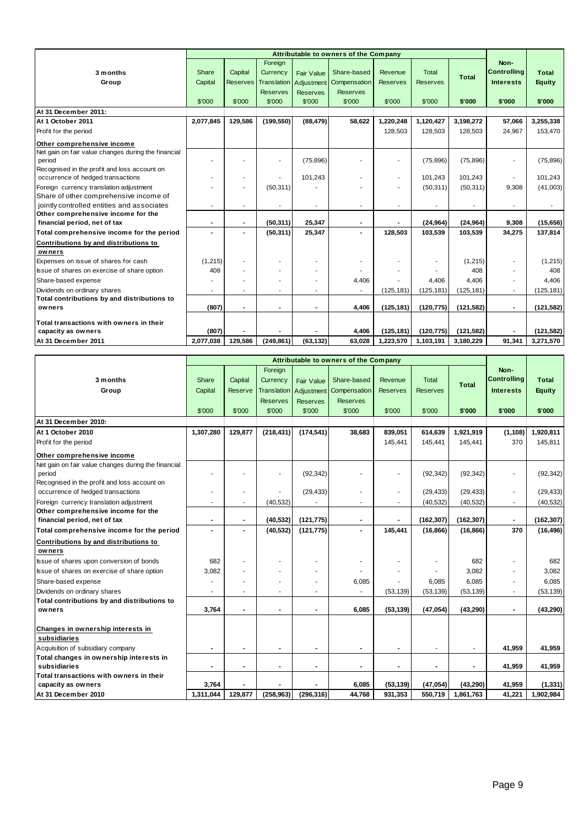|                                                     |           |                 |                 |                 | Attributable to owners of the Company |                 |                 |              |                    |               |
|-----------------------------------------------------|-----------|-----------------|-----------------|-----------------|---------------------------------------|-----------------|-----------------|--------------|--------------------|---------------|
|                                                     |           |                 | Foreign         |                 |                                       |                 |                 |              | Non-               |               |
| 3 months                                            | Share     | Capital         | Currency        | Fair Value      | Share-based                           | Revenue         | <b>Total</b>    | <b>Total</b> | <b>Controlling</b> | <b>Total</b>  |
| Group                                               | Capital   | <b>Reserves</b> | Translation     |                 | Adjustment Compensation               | <b>Reserves</b> | <b>Reserves</b> |              | <b>Interests</b>   | <b>Equity</b> |
|                                                     |           |                 | <b>Reserves</b> | <b>Reserves</b> | <b>Reserves</b>                       |                 |                 |              |                    |               |
|                                                     | \$'000    | \$'000          | \$'000          | \$'000          | \$'000                                | \$'000          | \$'000          | \$'000       | \$'000             | \$'000        |
| At 31 December 2011:                                |           |                 |                 |                 |                                       |                 |                 |              |                    |               |
| At 1 October 2011                                   | 2,077,845 | 129,586         | (199, 550)      | (88, 479)       | 58,622                                | 1,220,248       | 1,120,427       | 3,198,272    | 57,066             | 3,255,338     |
| Profit for the period                               |           |                 |                 |                 |                                       | 128,503         | 128,503         | 128,503      | 24,967             | 153,470       |
| Other comprehensive income                          |           |                 |                 |                 |                                       |                 |                 |              |                    |               |
| Net gain on fair value changes during the financial |           |                 |                 |                 |                                       |                 |                 |              |                    |               |
| period                                              |           |                 |                 | (75, 896)       |                                       |                 | (75, 896)       | (75, 896)    |                    | (75, 896)     |
| Recognised in the profit and loss account on        |           |                 |                 |                 |                                       |                 |                 |              |                    |               |
| occurrence of hedged transactions                   |           |                 |                 | 101,243         |                                       | $\blacksquare$  | 101.243         | 101,243      |                    | 101,243       |
| Foreign currency translation adjustment             |           |                 | (50, 311)       |                 |                                       |                 | (50, 311)       | (50, 311)    | 9,308              | (41,003)      |
| Share of other comprehensive income of              |           |                 |                 |                 |                                       |                 |                 |              |                    |               |
| jointly controlled entities and associates          |           |                 |                 |                 | ٠                                     |                 |                 |              |                    |               |
| Other comprehensive income for the                  |           |                 |                 |                 |                                       |                 |                 |              |                    |               |
| financial period, net of tax                        |           |                 | (50, 311)       | 25,347          | ٠                                     |                 | (24, 964)       | (24, 964)    | 9,308              | (15, 656)     |
| Total comprehensive income for the period           |           |                 | (50, 311)       | 25,347          | $\blacksquare$                        | 128,503         | 103,539         | 103,539      | 34,275             | 137,814       |
| Contributions by and distributions to               |           |                 |                 |                 |                                       |                 |                 |              |                    |               |
| owners                                              |           |                 |                 |                 |                                       |                 |                 |              |                    |               |
| Expenses on issue of shares for cash                | (1, 215)  |                 |                 |                 |                                       |                 |                 | (1,215)      |                    | (1,215)       |
| Issue of shares on exercise of share option         | 408       |                 |                 |                 |                                       |                 |                 | 408          |                    | 408           |
| Share-based expense                                 |           |                 |                 |                 | 4,406                                 |                 | 4.406           | 4.406        |                    | 4,406         |
| Dividends on ordinary shares                        |           |                 |                 |                 |                                       | (125, 181)      | (125, 181)      | (125, 181)   |                    | (125, 181)    |
| Total contributions by and distributions to         |           |                 |                 |                 |                                       |                 |                 |              |                    |               |
| owners                                              | (807)     |                 | $\overline{a}$  |                 | 4,406                                 | (125, 181)      | (120, 775)      | (121, 582)   |                    | (121, 582)    |
| Total transactions with owners in their             |           |                 |                 |                 |                                       |                 |                 |              |                    |               |
| capacity as owners                                  | (807)     |                 |                 |                 | 4,406                                 | (125, 181)      | (120, 775)      | (121, 582)   |                    | (121, 582)    |
| At 31 December 2011                                 | 2,077,038 | 129,586         | (249, 861)      | (63, 132)       | 63,028                                | 1,223,570       | 1,103,191       | 3,180,229    | 91,341             | 3,271,570     |

|                                                                                   |                |         |                          |                   | Attributable to owners of the Company |                 |                 |              |                    |               |
|-----------------------------------------------------------------------------------|----------------|---------|--------------------------|-------------------|---------------------------------------|-----------------|-----------------|--------------|--------------------|---------------|
|                                                                                   |                |         | Foreign                  |                   |                                       |                 |                 |              | Non-               |               |
| 3 months                                                                          | Share          | Capital | Currency                 | <b>Fair Value</b> | Share-based                           | Revenue         | <b>Total</b>    | <b>Total</b> | <b>Controlling</b> | <b>Total</b>  |
| Group                                                                             | Capital        | Reserve | <b>Translation</b>       | Adjustment        | Compensation                          | <b>Reserves</b> | <b>Reserves</b> |              | <b>Interests</b>   | <b>Equity</b> |
|                                                                                   |                |         | <b>Reserves</b>          | <b>Reserves</b>   | <b>Reserves</b>                       |                 |                 |              |                    |               |
|                                                                                   | \$'000         | \$'000  | \$'000                   | \$'000            | \$'000                                | \$'000          | \$'000          | \$'000       | \$'000             | \$'000        |
| At 31 December 2010:                                                              |                |         |                          |                   |                                       |                 |                 |              |                    |               |
| At 1 October 2010                                                                 | 1,307,280      | 129,877 | (218, 431)               | (174, 541)        | 38,683                                | 839,051         | 614,639         | 1,921,919    | (1, 108)           | 1,920,811     |
| Profit for the period                                                             |                |         |                          |                   |                                       | 145,441         | 145,441         | 145,441      | 370                | 145,811       |
| Other comprehensive income                                                        |                |         |                          |                   |                                       |                 |                 |              |                    |               |
| Net gain on fair value changes during the financial                               |                |         |                          |                   |                                       |                 |                 |              |                    |               |
| period                                                                            |                |         |                          | (92, 342)         |                                       |                 | (92, 342)       | (92, 342)    |                    | (92, 342)     |
| Recognised in the profit and loss account on<br>occurrence of hedged transactions |                |         |                          | (29, 433)         |                                       | $\sim$          | (29, 433)       | (29, 433)    | $\blacksquare$     | (29, 433)     |
| Foreign currency translation adjustment                                           |                |         | (40, 532)                |                   |                                       |                 | (40, 532)       | (40, 532)    |                    | (40, 532)     |
| Other comprehensive income for the                                                |                |         |                          |                   |                                       |                 |                 |              |                    |               |
| financial period, net of tax                                                      | $\blacksquare$ |         | (40, 532)                | (121, 775)        | $\blacksquare$                        |                 | (162, 307)      | (162, 307)   |                    | (162, 307)    |
| Total comprehensive income for the period                                         |                |         | (40, 532)                | (121, 775)        | $\blacksquare$                        | 145,441         | (16, 866)       | (16, 866)    | 370                | (16, 496)     |
| Contributions by and distributions to                                             |                |         |                          |                   |                                       |                 |                 |              |                    |               |
| owners                                                                            |                |         |                          |                   |                                       |                 |                 |              |                    |               |
| Issue of shares upon conversion of bonds                                          | 682            |         |                          |                   |                                       |                 |                 | 682          |                    | 682           |
| Issue of shares on exercise of share option                                       | 3,082          |         |                          |                   |                                       |                 |                 | 3,082        |                    | 3,082         |
| Share-based expense                                                               |                |         |                          |                   | 6,085                                 |                 | 6.085           | 6,085        |                    | 6,085         |
| Dividends on ordinary shares                                                      |                |         |                          |                   |                                       | (53, 139)       | (53, 139)       | (53, 139)    |                    | (53, 139)     |
| Total contributions by and distributions to                                       |                |         |                          |                   |                                       |                 |                 |              |                    |               |
| owners                                                                            | 3,764          |         | $\blacksquare$           |                   | 6,085                                 | (53, 139)       | (47, 054)       | (43, 290)    | $\blacksquare$     | (43, 290)     |
|                                                                                   |                |         |                          |                   |                                       |                 |                 |              |                    |               |
| Changes in ownership interests in<br>subsidiaries                                 |                |         |                          |                   |                                       |                 |                 |              |                    |               |
| Acquisition of subsidiary company                                                 | $\blacksquare$ |         | $\overline{\phantom{0}}$ | $\blacksquare$    | $\blacksquare$                        | $\blacksquare$  | $\blacksquare$  | ٠            | 41,959             | 41,959        |
| Total changes in ownership interests in                                           |                |         |                          |                   |                                       |                 |                 |              |                    |               |
| subsidiaries                                                                      |                |         | $\overline{a}$           | $\blacksquare$    | $\overline{\phantom{0}}$              |                 | $\overline{a}$  |              | 41,959             | 41,959        |
| Total transactions with owners in their                                           |                |         |                          |                   |                                       |                 |                 |              |                    |               |
| capacity as owners                                                                | 3,764          |         |                          |                   | 6,085                                 | (53, 139)       | (47, 054)       | (43, 290)    | 41,959             | (1, 331)      |
| At 31 December 2010                                                               | 1.311.044      | 129,877 | (258.963)                | (296, 316)        | 44.768                                | 931,353         | 550.719         | 1,861,763    | 41,221             | 1,902,984     |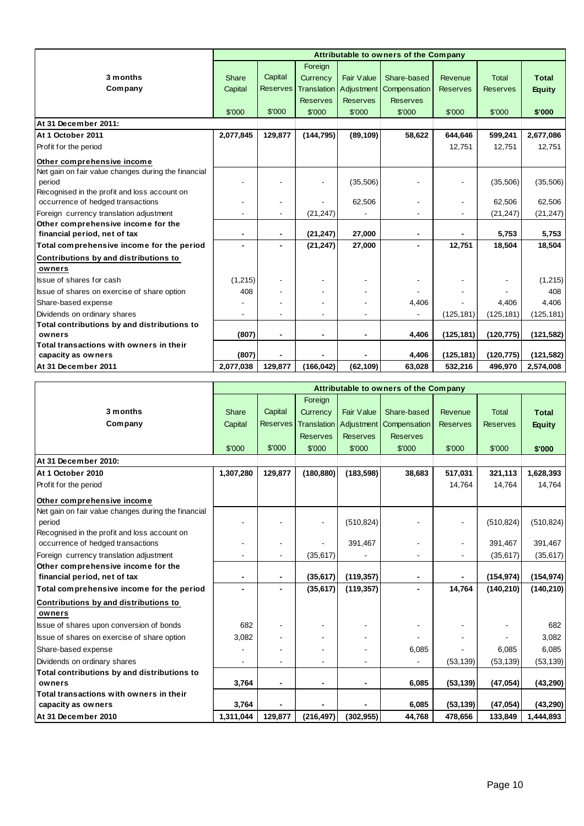|                                                     |              | Attributable to owners of the Company |                 |                          |                                         |                 |                 |               |
|-----------------------------------------------------|--------------|---------------------------------------|-----------------|--------------------------|-----------------------------------------|-----------------|-----------------|---------------|
|                                                     |              |                                       | Foreign         |                          |                                         |                 |                 |               |
| 3 months                                            | <b>Share</b> | Capital                               | Currency        | <b>Fair Value</b>        | Share-based                             | Revenue         | <b>Total</b>    | <b>Total</b>  |
| Company                                             | Capital      | <b>Reserves</b>                       |                 |                          | Translation   Adjustment   Compensation | <b>Reserves</b> | <b>Reserves</b> | <b>Equity</b> |
|                                                     |              |                                       | <b>Reserves</b> | <b>Reserves</b>          | <b>Reserves</b>                         |                 |                 |               |
|                                                     | \$'000       | \$'000                                | \$'000          | \$'000                   | \$'000                                  | \$'000          | \$'000          | \$'000        |
| At 31 December 2011:                                |              |                                       |                 |                          |                                         |                 |                 |               |
| At 1 October 2011                                   | 2,077,845    | 129,877                               | (144, 795)      | (89, 109)                | 58,622                                  | 644,646         | 599,241         | 2,677,086     |
| Profit for the period                               |              |                                       |                 |                          |                                         | 12,751          | 12,751          | 12,751        |
| Other comprehensive income                          |              |                                       |                 |                          |                                         |                 |                 |               |
| Net gain on fair value changes during the financial |              |                                       |                 |                          |                                         |                 |                 |               |
| period                                              |              |                                       |                 | (35, 506)                |                                         |                 | (35,506)        | (35,506)      |
| Recognised in the profit and loss account on        |              |                                       |                 |                          |                                         |                 |                 |               |
| occurrence of hedged transactions                   |              |                                       |                 | 62,506                   |                                         | $\blacksquare$  | 62,506          | 62,506        |
| Foreign currency translation adjustment             |              |                                       | (21, 247)       |                          |                                         |                 | (21, 247)       | (21, 247)     |
| Other comprehensive income for the                  |              |                                       |                 |                          |                                         |                 |                 |               |
| financial period, net of tax                        | ٠            | ٠                                     | (21, 247)       | 27,000                   | $\blacksquare$                          |                 | 5,753           | 5,753         |
| Total comprehensive income for the period           |              |                                       | (21, 247)       | 27,000                   | ٠                                       | 12,751          | 18,504          | 18,504        |
| Contributions by and distributions to               |              |                                       |                 |                          |                                         |                 |                 |               |
| owners                                              |              |                                       |                 |                          |                                         |                 |                 |               |
| <b>Issue of shares for cash</b>                     | (1,215)      |                                       |                 | $\overline{\phantom{a}}$ |                                         |                 |                 | (1,215)       |
| Issue of shares on exercise of share option         | 408          |                                       |                 |                          |                                         |                 |                 | 408           |
| Share-based expense                                 |              |                                       |                 |                          | 4,406                                   |                 | 4,406           | 4,406         |
| Dividends on ordinary shares                        |              |                                       |                 |                          |                                         | (125, 181)      | (125, 181)      | (125, 181)    |
| Total contributions by and distributions to         |              |                                       |                 |                          |                                         |                 |                 |               |
| owners                                              | (807)        |                                       |                 |                          | 4,406                                   | (125, 181)      | (120, 775)      | (121, 582)    |
| Total transactions with owners in their             |              |                                       |                 |                          |                                         |                 |                 |               |
| capacity as owners                                  | (807)        |                                       |                 |                          | 4,406                                   | (125, 181)      | (120, 775)      | (121, 582)    |
| At 31 December 2011                                 | 2,077,038    | 129,877                               | (166, 042)      | (62, 109)                | 63,028                                  | 532,216         | 496,970         | 2,574,008     |

|                                                     |           | Attributable to owners of the Company |                    |                   |                           |                 |                 |               |
|-----------------------------------------------------|-----------|---------------------------------------|--------------------|-------------------|---------------------------|-----------------|-----------------|---------------|
|                                                     |           |                                       | Foreign            |                   |                           |                 |                 |               |
| 3 months                                            | Share     | Capital                               | Currency           | <b>Fair Value</b> | Share-based               | Revenue         | <b>Total</b>    | <b>Total</b>  |
| Company                                             | Capital   | <b>Reserves</b>                       | <b>Translation</b> |                   | Adjustment   Compensation | <b>Reserves</b> | <b>Reserves</b> | <b>Equity</b> |
|                                                     |           |                                       | <b>Reserves</b>    | <b>Reserves</b>   | <b>Reserves</b>           |                 |                 |               |
|                                                     | \$'000    | \$'000                                | \$'000             | \$'000            | \$'000                    | \$'000          | \$'000          | \$'000        |
| At 31 December 2010:                                |           |                                       |                    |                   |                           |                 |                 |               |
| At 1 October 2010                                   | 1,307,280 | 129,877                               | (180, 880)         | (183, 598)        | 38,683                    | 517,031         | 321,113         | 1,628,393     |
| Profit for the period                               |           |                                       |                    |                   |                           | 14,764          | 14,764          | 14,764        |
| Other comprehensive income                          |           |                                       |                    |                   |                           |                 |                 |               |
| Net gain on fair value changes during the financial |           |                                       |                    |                   |                           |                 |                 |               |
| period                                              |           |                                       |                    | (510, 824)        |                           | $\blacksquare$  | (510, 824)      | (510, 824)    |
| Recognised in the profit and loss account on        |           |                                       |                    |                   |                           |                 |                 |               |
| occurrence of hedged transactions                   |           |                                       |                    | 391,467           |                           | $\blacksquare$  | 391,467         | 391,467       |
| Foreign currency translation adjustment             |           |                                       | (35, 617)          |                   | $\blacksquare$            |                 | (35, 617)       | (35, 617)     |
| Other comprehensive income for the                  |           |                                       |                    |                   |                           |                 |                 |               |
| financial period, net of tax                        |           |                                       | (35, 617)          | (119, 357)        | $\blacksquare$            |                 | (154, 974)      | (154, 974)    |
| Total comprehensive income for the period           |           |                                       | (35, 617)          | (119, 357)        | $\overline{\phantom{0}}$  | 14,764          | (140, 210)      | (140, 210)    |
| Contributions by and distributions to               |           |                                       |                    |                   |                           |                 |                 |               |
| owners                                              |           |                                       |                    |                   |                           |                 |                 |               |
| Issue of shares upon conversion of bonds            | 682       |                                       |                    |                   |                           |                 |                 | 682           |
| Issue of shares on exercise of share option         | 3,082     |                                       |                    |                   |                           |                 |                 | 3,082         |
| Share-based expense                                 |           |                                       |                    |                   | 6,085                     |                 | 6,085           | 6,085         |
| Dividends on ordinary shares                        |           |                                       |                    |                   |                           | (53, 139)       | (53, 139)       | (53, 139)     |
| Total contributions by and distributions to         |           |                                       |                    |                   |                           |                 |                 |               |
| owners                                              | 3,764     | $\blacksquare$                        |                    |                   | 6,085                     | (53, 139)       | (47, 054)       | (43, 290)     |
| Total transactions with owners in their             |           |                                       |                    |                   |                           |                 |                 |               |
| capacity as owners                                  | 3,764     |                                       |                    |                   | 6,085                     | (53, 139)       | (47, 054)       | (43, 290)     |
| At 31 December 2010                                 | 1,311,044 | 129,877                               | (216, 497)         | (302, 955)        | 44,768                    | 478,656         | 133,849         | 1,444,893     |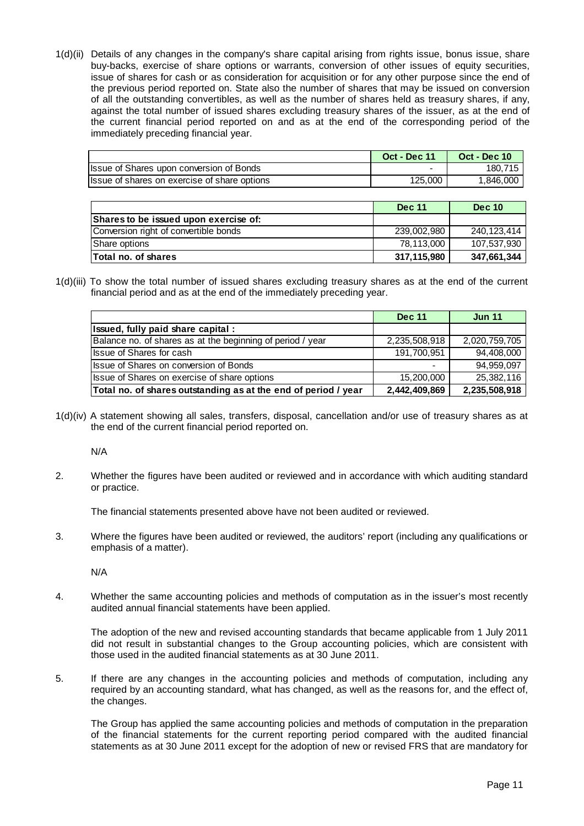1(d)(ii) Details of any changes in the company's share capital arising from rights issue, bonus issue, share buy-backs, exercise of share options or warrants, conversion of other issues of equity securities, issue of shares for cash or as consideration for acquisition or for any other purpose since the end of the previous period reported on. State also the number of shares that may be issued on conversion of all the outstanding convertibles, as well as the number of shares held as treasury shares, if any, against the total number of issued shares excluding treasury shares of the issuer, as at the end of the current financial period reported on and as at the end of the corresponding period of the immediately preceding financial year.

|                                              | <b>Oct - Dec 11</b> | <b>Oct - Dec 10</b> |
|----------------------------------------------|---------------------|---------------------|
| Ilssue of Shares upon conversion of Bonds    |                     | 180.715             |
| Issue of shares on exercise of share options | 125,000             | 1,846,000           |

|                                       | <b>Dec 11</b> | <b>Dec 10</b> |
|---------------------------------------|---------------|---------------|
| Shares to be issued upon exercise of: |               |               |
| Conversion right of convertible bonds | 239.002.980   | 240,123,414   |
| <b>Share options</b>                  | 78.113.000    | 107,537,930   |
| Total no. of shares                   | 317,115,980   | 347.661.344   |

1(d)(iii) To show the total number of issued shares excluding treasury shares as at the end of the current financial period and as at the end of the immediately preceding year.

|                                                                | <b>Dec 11</b> | <b>Jun 11</b> |
|----------------------------------------------------------------|---------------|---------------|
| Issued, fully paid share capital:                              |               |               |
| Balance no. of shares as at the beginning of period / year     | 2,235,508,918 | 2,020,759,705 |
| Ilssue of Shares for cash                                      | 191,700,951   | 94,408,000    |
| Issue of Shares on conversion of Bonds                         |               | 94,959,097    |
| Issue of Shares on exercise of share options                   | 15,200,000    | 25,382,116    |
| Total no. of shares outstanding as at the end of period / year | 2,442,409,869 | 2,235,508,918 |

1(d)(iv) A statement showing all sales, transfers, disposal, cancellation and/or use of treasury shares as at the end of the current financial period reported on.

N/A

2. Whether the figures have been audited or reviewed and in accordance with which auditing standard or practice.

The financial statements presented above have not been audited or reviewed.

3. Where the figures have been audited or reviewed, the auditors' report (including any qualifications or emphasis of a matter).

N/A

4. Whether the same accounting policies and methods of computation as in the issuer's most recently audited annual financial statements have been applied.

 The adoption of the new and revised accounting standards that became applicable from 1 July 2011 did not result in substantial changes to the Group accounting policies, which are consistent with those used in the audited financial statements as at 30 June 2011.

5. If there are any changes in the accounting policies and methods of computation, including any required by an accounting standard, what has changed, as well as the reasons for, and the effect of, the changes.

 The Group has applied the same accounting policies and methods of computation in the preparation of the financial statements for the current reporting period compared with the audited financial statements as at 30 June 2011 except for the adoption of new or revised FRS that are mandatory for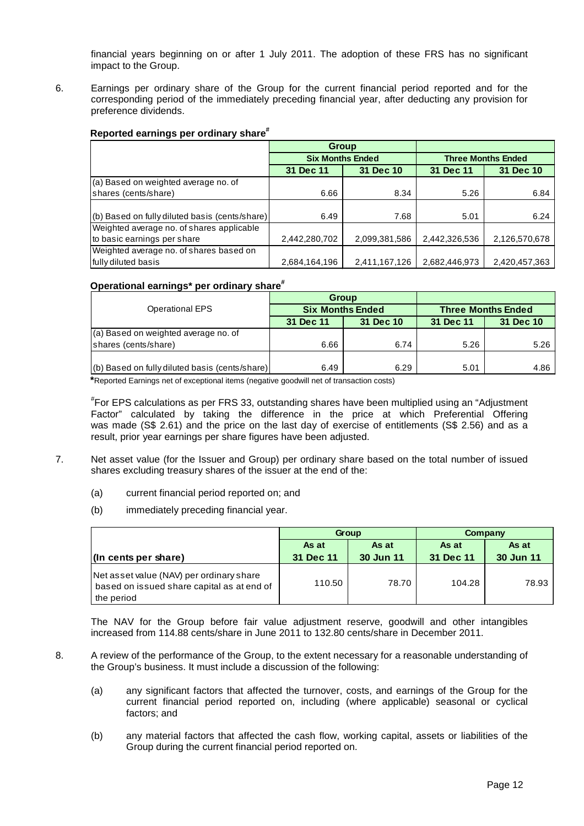financial years beginning on or after 1 July 2011. The adoption of these FRS has no significant impact to the Group.

6. Earnings per ordinary share of the Group for the current financial period reported and for the corresponding period of the immediately preceding financial year, after deducting any provision for preference dividends.

## **Reported earnings per ordinary share#**

|                                                | Group                   |               |               |                           |
|------------------------------------------------|-------------------------|---------------|---------------|---------------------------|
|                                                | <b>Six Months Ended</b> |               |               | <b>Three Months Ended</b> |
|                                                | 31 Dec 10<br>31 Dec 11  |               | 31 Dec 11     | 31 Dec 10                 |
| (a) Based on weighted average no. of           |                         |               |               |                           |
| shares (cents/share)                           | 6.66                    | 8.34          | 5.26          | 6.84                      |
|                                                |                         |               |               |                           |
| (b) Based on fully diluted basis (cents/share) | 6.49                    | 7.68          | 5.01          | 6.24                      |
| Weighted average no. of shares applicable      |                         |               |               |                           |
| to basic earnings per share                    | 2,442,280,702           | 2,099,381,586 | 2,442,326,536 | 2,126,570,678             |
| Weighted average no. of shares based on        |                         |               |               |                           |
| fully diluted basis                            | 2,684,164,196           | 2,411,167,126 | 2,682,446,973 | 2,420,457,363             |

#### **Operational earnings\* per ordinary share#**

|                                                | <b>Group</b> |                         |                           |           |  |
|------------------------------------------------|--------------|-------------------------|---------------------------|-----------|--|
| <b>Operational EPS</b>                         |              | <b>Six Months Ended</b> | <b>Three Months Ended</b> |           |  |
|                                                | 31 Dec 11    | 31 Dec 10               | 31 Dec 11                 | 31 Dec 10 |  |
| (a) Based on weighted average no. of           |              |                         |                           |           |  |
| shares (cents/share)                           | 6.66         | 6.74                    | 5.26                      | 5.26      |  |
|                                                |              |                         |                           |           |  |
| (b) Based on fully diluted basis (cents/share) | 6.49         | 6.29                    | 5.01                      | 4.86      |  |

**\***Reported Earnings net of exceptional items (negative goodwill net of transaction costs)

# For EPS calculations as per FRS 33, outstanding shares have been multiplied using an "Adjustment Factor" calculated by taking the difference in the price at which Preferential Offering was made (S\$ 2.61) and the price on the last day of exercise of entitlements (S\$ 2.56) and as a result, prior year earnings per share figures have been adjusted.

- 7. Net asset value (for the Issuer and Group) per ordinary share based on the total number of issued shares excluding treasury shares of the issuer at the end of the:
	- (a) current financial period reported on; and
	- (b) immediately preceding financial year.

|                                                                                                      |                | Group     | Company   |           |  |
|------------------------------------------------------------------------------------------------------|----------------|-----------|-----------|-----------|--|
|                                                                                                      | As at<br>As at |           | As at     | As at     |  |
| $\ln$ cents per share)                                                                               | 31 Dec 11      | 30 Jun 11 | 31 Dec 11 | 30 Jun 11 |  |
| Net asset value (NAV) per ordinary share<br>based on issued share capital as at end of<br>the period | 110.50         | 78.70     | 104.28    | 78.93     |  |

The NAV for the Group before fair value adjustment reserve, goodwill and other intangibles increased from 114.88 cents/share in June 2011 to 132.80 cents/share in December 2011.

- 8. A review of the performance of the Group, to the extent necessary for a reasonable understanding of the Group's business. It must include a discussion of the following:
	- (a) any significant factors that affected the turnover, costs, and earnings of the Group for the current financial period reported on, including (where applicable) seasonal or cyclical factors; and
	- (b) any material factors that affected the cash flow, working capital, assets or liabilities of the Group during the current financial period reported on.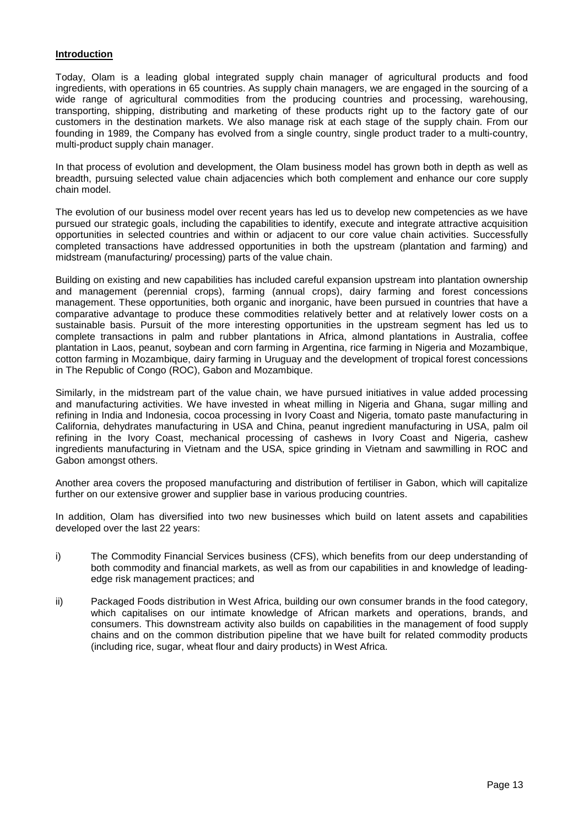### **Introduction**

Today, Olam is a leading global integrated supply chain manager of agricultural products and food ingredients, with operations in 65 countries. As supply chain managers, we are engaged in the sourcing of a wide range of agricultural commodities from the producing countries and processing, warehousing, transporting, shipping, distributing and marketing of these products right up to the factory gate of our customers in the destination markets. We also manage risk at each stage of the supply chain. From our founding in 1989, the Company has evolved from a single country, single product trader to a multi-country, multi-product supply chain manager.

In that process of evolution and development, the Olam business model has grown both in depth as well as breadth, pursuing selected value chain adjacencies which both complement and enhance our core supply chain model.

The evolution of our business model over recent years has led us to develop new competencies as we have pursued our strategic goals, including the capabilities to identify, execute and integrate attractive acquisition opportunities in selected countries and within or adjacent to our core value chain activities. Successfully completed transactions have addressed opportunities in both the upstream (plantation and farming) and midstream (manufacturing/ processing) parts of the value chain.

Building on existing and new capabilities has included careful expansion upstream into plantation ownership and management (perennial crops), farming (annual crops), dairy farming and forest concessions management. These opportunities, both organic and inorganic, have been pursued in countries that have a comparative advantage to produce these commodities relatively better and at relatively lower costs on a sustainable basis. Pursuit of the more interesting opportunities in the upstream segment has led us to complete transactions in palm and rubber plantations in Africa, almond plantations in Australia, coffee plantation in Laos, peanut, soybean and corn farming in Argentina, rice farming in Nigeria and Mozambique, cotton farming in Mozambique, dairy farming in Uruguay and the development of tropical forest concessions in The Republic of Congo (ROC), Gabon and Mozambique.

Similarly, in the midstream part of the value chain, we have pursued initiatives in value added processing and manufacturing activities. We have invested in wheat milling in Nigeria and Ghana, sugar milling and refining in India and Indonesia, cocoa processing in Ivory Coast and Nigeria, tomato paste manufacturing in California, dehydrates manufacturing in USA and China, peanut ingredient manufacturing in USA, palm oil refining in the Ivory Coast, mechanical processing of cashews in Ivory Coast and Nigeria, cashew ingredients manufacturing in Vietnam and the USA, spice grinding in Vietnam and sawmilling in ROC and Gabon amongst others.

Another area covers the proposed manufacturing and distribution of fertiliser in Gabon, which will capitalize further on our extensive grower and supplier base in various producing countries.

In addition, Olam has diversified into two new businesses which build on latent assets and capabilities developed over the last 22 years:

- i) The Commodity Financial Services business (CFS), which benefits from our deep understanding of both commodity and financial markets, as well as from our capabilities in and knowledge of leadingedge risk management practices; and
- ii) Packaged Foods distribution in West Africa, building our own consumer brands in the food category, which capitalises on our intimate knowledge of African markets and operations, brands, and consumers. This downstream activity also builds on capabilities in the management of food supply chains and on the common distribution pipeline that we have built for related commodity products (including rice, sugar, wheat flour and dairy products) in West Africa.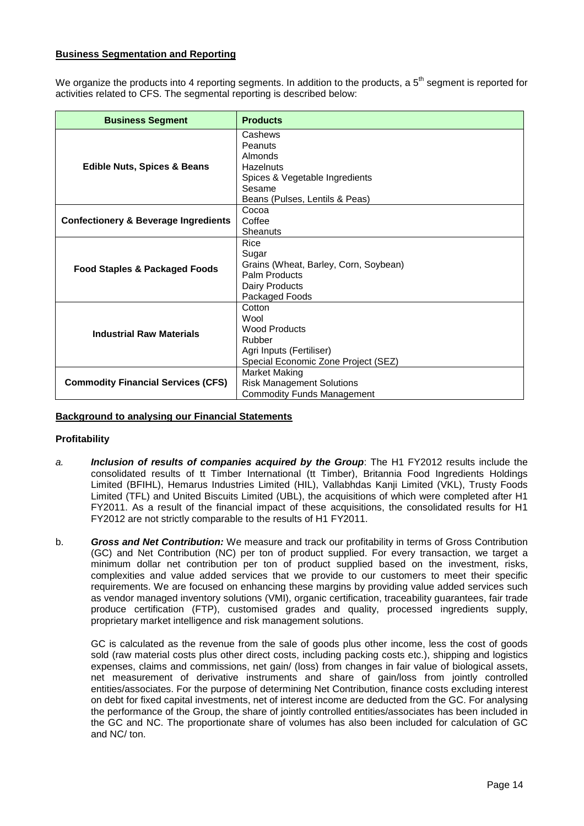## **Business Segmentation and Reporting**

We organize the products into 4 reporting segments. In addition to the products, a 5<sup>th</sup> segment is reported for activities related to CFS. The segmental reporting is described below:

| <b>Business Segment</b>                         | <b>Products</b>                       |
|-------------------------------------------------|---------------------------------------|
|                                                 | Cashews<br>Peanuts                    |
|                                                 | Almonds                               |
| <b>Edible Nuts, Spices &amp; Beans</b>          | <b>Hazelnuts</b>                      |
|                                                 | Spices & Vegetable Ingredients        |
|                                                 | Sesame                                |
|                                                 | Beans (Pulses, Lentils & Peas)        |
|                                                 | Cocoa                                 |
| <b>Confectionery &amp; Beverage Ingredients</b> | Coffee                                |
|                                                 | Sheanuts                              |
|                                                 | Rice                                  |
|                                                 | Sugar                                 |
| <b>Food Staples &amp; Packaged Foods</b>        | Grains (Wheat, Barley, Corn, Soybean) |
|                                                 | Palm Products                         |
|                                                 | Dairy Products                        |
|                                                 | Packaged Foods                        |
|                                                 | Cotton<br>Wool                        |
|                                                 | <b>Wood Products</b>                  |
| <b>Industrial Raw Materials</b>                 | Rubber                                |
|                                                 | Agri Inputs (Fertiliser)              |
|                                                 | Special Economic Zone Project (SEZ)   |
|                                                 | Market Making                         |
| <b>Commodity Financial Services (CFS)</b>       | <b>Risk Management Solutions</b>      |
|                                                 | <b>Commodity Funds Management</b>     |

## **Background to analysing our Financial Statements**

#### **Profitability**

- a. **Inclusion of results of companies acquired by the Group**: The H1 FY2012 results include the consolidated results of tt Timber International (tt Timber), Britannia Food Ingredients Holdings Limited (BFIHL), Hemarus Industries Limited (HIL), Vallabhdas Kanji Limited (VKL), Trusty Foods Limited (TFL) and United Biscuits Limited (UBL), the acquisitions of which were completed after H1 FY2011. As a result of the financial impact of these acquisitions, the consolidated results for H1 FY2012 are not strictly comparable to the results of H1 FY2011.
- b. **Gross and Net Contribution:** We measure and track our profitability in terms of Gross Contribution (GC) and Net Contribution (NC) per ton of product supplied. For every transaction, we target a minimum dollar net contribution per ton of product supplied based on the investment, risks, complexities and value added services that we provide to our customers to meet their specific requirements. We are focused on enhancing these margins by providing value added services such as vendor managed inventory solutions (VMI), organic certification, traceability guarantees, fair trade produce certification (FTP), customised grades and quality, processed ingredients supply, proprietary market intelligence and risk management solutions.

GC is calculated as the revenue from the sale of goods plus other income, less the cost of goods sold (raw material costs plus other direct costs, including packing costs etc.), shipping and logistics expenses, claims and commissions, net gain/ (loss) from changes in fair value of biological assets, net measurement of derivative instruments and share of gain/loss from jointly controlled entities/associates. For the purpose of determining Net Contribution, finance costs excluding interest on debt for fixed capital investments, net of interest income are deducted from the GC. For analysing the performance of the Group, the share of jointly controlled entities/associates has been included in the GC and NC. The proportionate share of volumes has also been included for calculation of GC and NC/ ton.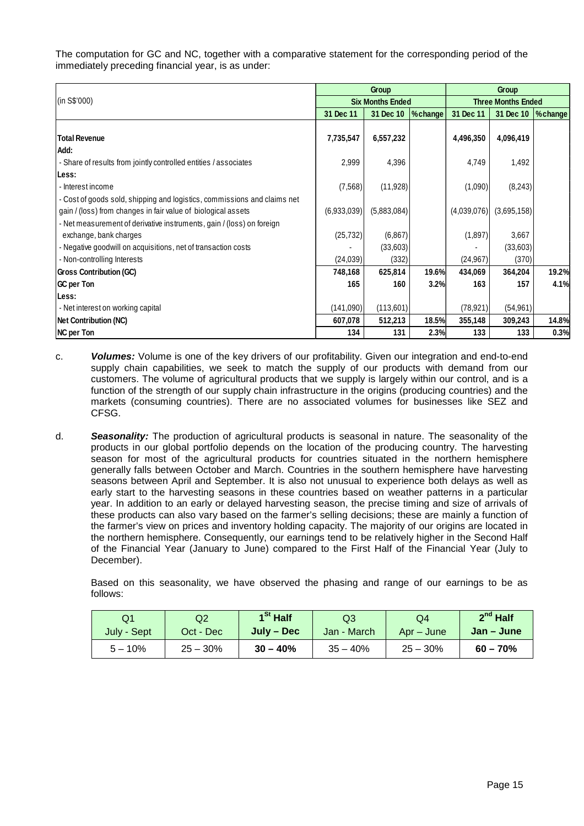The computation for GC and NC, together with a comparative statement for the corresponding period of the immediately preceding financial year, is as under:

|                                                                          |             | Group                   |          | Group                     |             |         |
|--------------------------------------------------------------------------|-------------|-------------------------|----------|---------------------------|-------------|---------|
| (in S\$'000)                                                             |             | <b>Six Months Ended</b> |          | <b>Three Months Ended</b> |             |         |
|                                                                          | 31 Dec 11   | 31 Dec 10               | % change | 31 Dec 11                 | 31 Dec 10   | %change |
|                                                                          |             |                         |          |                           |             |         |
| <b>Total Revenue</b>                                                     | 7,735,547   | 6,557,232               |          | 4,496,350                 | 4,096,419   |         |
| Add:                                                                     |             |                         |          |                           |             |         |
| - Share of results from jointly controlled entities / associates         | 2,999       | 4,396                   |          | 4,749                     | 1,492       |         |
| Less:                                                                    |             |                         |          |                           |             |         |
| - Interest income                                                        | (7,568)     | (11, 928)               |          | (1,090)                   | (8, 243)    |         |
| - Cost of goods sold, shipping and logistics, commissions and claims net |             |                         |          |                           |             |         |
| gain / (loss) from changes in fair value of biological assets            | (6,933,039) | (5,883,084)             |          | (4,039,076)               | (3,695,158) |         |
| - Net measurement of derivative instruments, gain / (loss) on foreign    |             |                         |          |                           |             |         |
| exchange, bank charges                                                   | (25, 732)   | (6, 867)                |          | (1,897)                   | 3,667       |         |
| - Negative goodwill on acquisitions, net of transaction costs            |             | (33,603)                |          |                           | (33,603)    |         |
| - Non-controlling Interests                                              | (24, 039)   | (332)                   |          | (24, 967)                 | (370)       |         |
| <b>Gross Contribution (GC)</b>                                           | 748,168     | 625,814                 | 19.6%    | 434,069                   | 364,204     | 19.2%   |
| GC per Ton                                                               | 165         | 160                     | 3.2%     | 163                       | 157         | 4.1%    |
| Less:                                                                    |             |                         |          |                           |             |         |
| - Net interest on working capital                                        | (141,090)   | (113,601)               |          | (78, 921)                 | (54, 961)   |         |
| <b>Net Contribution (NC)</b>                                             | 607,078     | 512,213                 | 18.5%    | 355,148                   | 309,243     | 14.8%   |
| <b>NC per Ton</b>                                                        | 134         | 131                     | 2.3%     | 133                       | 133         | 0.3%    |

- c. **Volumes:** Volume is one of the key drivers of our profitability. Given our integration and end-to-end supply chain capabilities, we seek to match the supply of our products with demand from our customers. The volume of agricultural products that we supply is largely within our control, and is a function of the strength of our supply chain infrastructure in the origins (producing countries) and the markets (consuming countries). There are no associated volumes for businesses like SEZ and CFSG.
- d. **Seasonality:** The production of agricultural products is seasonal in nature. The seasonality of the products in our global portfolio depends on the location of the producing country. The harvesting season for most of the agricultural products for countries situated in the northern hemisphere generally falls between October and March. Countries in the southern hemisphere have harvesting seasons between April and September. It is also not unusual to experience both delays as well as early start to the harvesting seasons in these countries based on weather patterns in a particular year. In addition to an early or delayed harvesting season, the precise timing and size of arrivals of these products can also vary based on the farmer's selling decisions; these are mainly a function of the farmer's view on prices and inventory holding capacity. The majority of our origins are located in the northern hemisphere. Consequently, our earnings tend to be relatively higher in the Second Half of the Financial Year (January to June) compared to the First Half of the Financial Year (July to December).

 Based on this seasonality, we have observed the phasing and range of our earnings to be as follows:

| Q1          | Q2         | 1 <sup>St</sup> Half | Q3          | Q4         | $2^{nd}$ Half |
|-------------|------------|----------------------|-------------|------------|---------------|
| July - Sept | Oct - Dec  | July – Dec           | Jan - March | Apr – June | Jan – June    |
| $5 - 10%$   | $25 - 30%$ | $30 - 40%$           | $35 - 40%$  | $25 - 30%$ | $60 - 70%$    |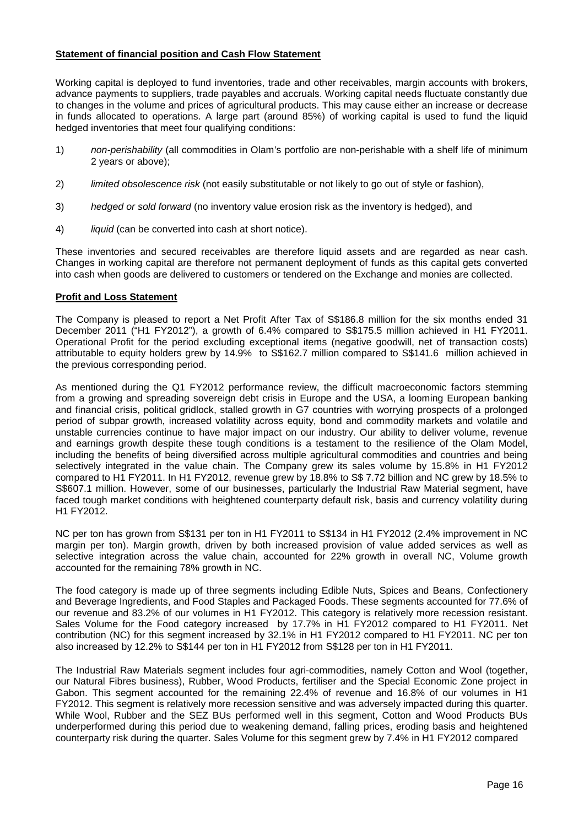## **Statement of financial position and Cash Flow Statement**

Working capital is deployed to fund inventories, trade and other receivables, margin accounts with brokers, advance payments to suppliers, trade payables and accruals. Working capital needs fluctuate constantly due to changes in the volume and prices of agricultural products. This may cause either an increase or decrease in funds allocated to operations. A large part (around 85%) of working capital is used to fund the liquid hedged inventories that meet four qualifying conditions:

- 1) non-perishability (all commodities in Olam's portfolio are non-perishable with a shelf life of minimum 2 years or above);
- 2) limited obsolescence risk (not easily substitutable or not likely to go out of style or fashion),
- 3) hedged or sold forward (no inventory value erosion risk as the inventory is hedged), and
- 4) liquid (can be converted into cash at short notice).

These inventories and secured receivables are therefore liquid assets and are regarded as near cash. Changes in working capital are therefore not permanent deployment of funds as this capital gets converted into cash when goods are delivered to customers or tendered on the Exchange and monies are collected.

### **Profit and Loss Statement**

The Company is pleased to report a Net Profit After Tax of S\$186.8 million for the six months ended 31 December 2011 ("H1 FY2012"), a growth of 6.4% compared to S\$175.5 million achieved in H1 FY2011. Operational Profit for the period excluding exceptional items (negative goodwill, net of transaction costs) attributable to equity holders grew by 14.9% to S\$162.7 million compared to S\$141.6 million achieved in the previous corresponding period.

As mentioned during the Q1 FY2012 performance review, the difficult macroeconomic factors stemming from a growing and spreading sovereign debt crisis in Europe and the USA, a looming European banking and financial crisis, political gridlock, stalled growth in G7 countries with worrying prospects of a prolonged period of subpar growth, increased volatility across equity, bond and commodity markets and volatile and unstable currencies continue to have major impact on our industry. Our ability to deliver volume, revenue and earnings growth despite these tough conditions is a testament to the resilience of the Olam Model, including the benefits of being diversified across multiple agricultural commodities and countries and being selectively integrated in the value chain. The Company grew its sales volume by 15.8% in H1 FY2012 compared to H1 FY2011. In H1 FY2012, revenue grew by 18.8% to S\$ 7.72 billion and NC grew by 18.5% to S\$607.1 million. However, some of our businesses, particularly the Industrial Raw Material segment, have faced tough market conditions with heightened counterparty default risk, basis and currency volatility during H1 FY2012.

NC per ton has grown from S\$131 per ton in H1 FY2011 to S\$134 in H1 FY2012 (2.4% improvement in NC margin per ton). Margin growth, driven by both increased provision of value added services as well as selective integration across the value chain, accounted for 22% growth in overall NC, Volume growth accounted for the remaining 78% growth in NC.

The food category is made up of three segments including Edible Nuts, Spices and Beans, Confectionery and Beverage Ingredients, and Food Staples and Packaged Foods. These segments accounted for 77.6% of our revenue and 83.2% of our volumes in H1 FY2012. This category is relatively more recession resistant. Sales Volume for the Food category increased by 17.7% in H1 FY2012 compared to H1 FY2011. Net contribution (NC) for this segment increased by 32.1% in H1 FY2012 compared to H1 FY2011. NC per ton also increased by 12.2% to S\$144 per ton in H1 FY2012 from S\$128 per ton in H1 FY2011.

The Industrial Raw Materials segment includes four agri-commodities, namely Cotton and Wool (together, our Natural Fibres business), Rubber, Wood Products, fertiliser and the Special Economic Zone project in Gabon. This segment accounted for the remaining 22.4% of revenue and 16.8% of our volumes in H1 FY2012. This segment is relatively more recession sensitive and was adversely impacted during this quarter. While Wool, Rubber and the SEZ BUs performed well in this segment, Cotton and Wood Products BUs underperformed during this period due to weakening demand, falling prices, eroding basis and heightened counterparty risk during the quarter. Sales Volume for this segment grew by 7.4% in H1 FY2012 compared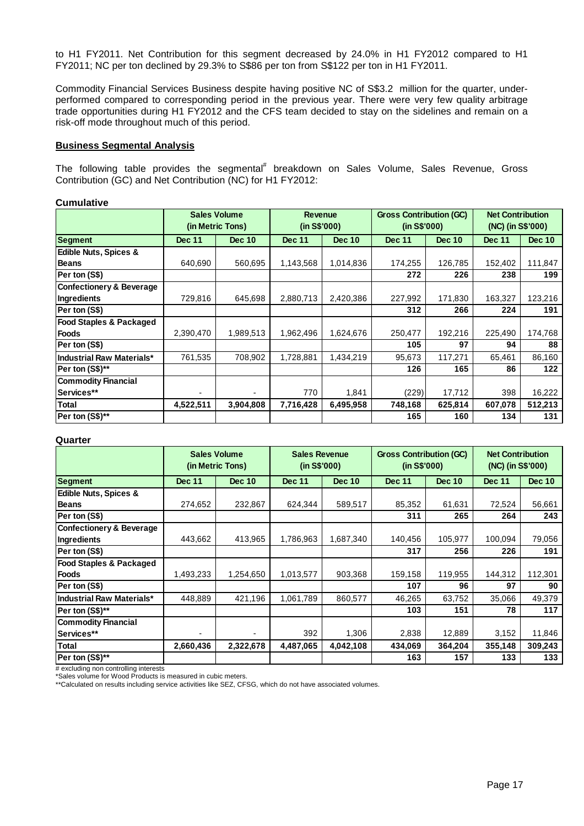to H1 FY2011. Net Contribution for this segment decreased by 24.0% in H1 FY2012 compared to H1 FY2011; NC per ton declined by 29.3% to S\$86 per ton from S\$122 per ton in H1 FY2011.

Commodity Financial Services Business despite having positive NC of S\$3.2 million for the quarter, underperformed compared to corresponding period in the previous year. There were very few quality arbitrage trade opportunities during H1 FY2012 and the CFS team decided to stay on the sidelines and remain on a risk-off mode throughout much of this period.

## **Business Segmental Analysis**

The following table provides the segmental<sup>#</sup> breakdown on Sales Volume, Sales Revenue, Gross Contribution (GC) and Net Contribution (NC) for H1 FY2012:

#### **Cumulative**

|                                     | <b>Sales Volume</b><br>(in Metric Tons) |               | <b>Revenue</b><br>(in S\$'000) |               | <b>Gross Contribution (GC)</b><br>(in S\$'000) |               | <b>Net Contribution</b><br>(NC) (in S\$'000) |               |  |
|-------------------------------------|-----------------------------------------|---------------|--------------------------------|---------------|------------------------------------------------|---------------|----------------------------------------------|---------------|--|
| Segment                             | <b>Dec 11</b>                           | <b>Dec 10</b> | <b>Dec 11</b>                  | <b>Dec 10</b> | <b>Dec 11</b>                                  | <b>Dec 10</b> | <b>Dec 11</b>                                | <b>Dec 10</b> |  |
| <b>Edible Nuts, Spices &amp;</b>    |                                         |               |                                |               |                                                |               |                                              |               |  |
| <b>Beans</b>                        | 640,690                                 | 560,695       | 1,143,568                      | 1,014,836     | 174,255                                        | 126,785       | 152,402                                      | 111,847       |  |
| Per ton (S\$)                       |                                         |               |                                |               | 272                                            | 226           | 238                                          | 199           |  |
| <b>Confectionery &amp; Beverage</b> |                                         |               |                                |               |                                                |               |                                              |               |  |
| Ingredients                         | 729,816                                 | 645,698       | 2,880,713                      | 2,420,386     | 227,992                                        | 171,830       | 163,327                                      | 123,216       |  |
| Per ton (S\$)                       |                                         |               |                                |               | 312                                            | 266           | 224                                          | 191           |  |
| <b>Food Staples &amp; Packaged</b>  |                                         |               |                                |               |                                                |               |                                              |               |  |
| <b>Foods</b>                        | 2,390,470                               | 1,989,513     | 1,962,496                      | 1,624,676     | 250,477                                        | 192,216       | 225,490                                      | 174,768       |  |
| Per ton (S\$)                       |                                         |               |                                |               | 105                                            | 97            | 94                                           | 88            |  |
| Industrial Raw Materials*           | 761,535                                 | 708,902       | 1,728,881                      | 1,434,219     | 95,673                                         | 117,271       | 65,461                                       | 86,160        |  |
| Per ton (S\$)**                     |                                         |               |                                |               | 126                                            | 165           | 86                                           | 122           |  |
| <b>Commodity Financial</b>          |                                         |               |                                |               |                                                |               |                                              |               |  |
| Services**                          |                                         | -             | 770                            | 1,841         | (229)                                          | 17,712        | 398                                          | 16,222        |  |
| <b>Total</b>                        | 4,522,511                               | 3,904,808     | 7,716,428                      | 6,495,958     | 748,168                                        | 625,814       | 607,078                                      | 512,213       |  |
| Per ton (S\$)**                     |                                         |               |                                |               | 165                                            | 160           | 134                                          | 131           |  |

#### **Quarter**

|                                     | <b>Sales Volume</b><br>(in Metric Tons) |               | <b>Sales Revenue</b><br>(in S\$'000) |               | <b>Gross Contribution (GC)</b><br>(in S\$'000) |               | <b>Net Contribution</b><br>(NC) (in S\$'000) |               |
|-------------------------------------|-----------------------------------------|---------------|--------------------------------------|---------------|------------------------------------------------|---------------|----------------------------------------------|---------------|
| <b>Segment</b>                      | <b>Dec 11</b>                           | <b>Dec 10</b> | <b>Dec 11</b>                        | <b>Dec 10</b> | <b>Dec 11</b>                                  | <b>Dec 10</b> | <b>Dec 11</b>                                | <b>Dec 10</b> |
| <b>Edible Nuts, Spices &amp;</b>    |                                         |               |                                      |               |                                                |               |                                              |               |
| <b>Beans</b>                        | 274,652                                 | 232,867       | 624,344                              | 589,517       | 85,352                                         | 61,631        | 72,524                                       | 56,661        |
| Per ton (S\$)                       |                                         |               |                                      |               | 311                                            | 265           | 264                                          | 243           |
| <b>Confectionery &amp; Beverage</b> |                                         |               |                                      |               |                                                |               |                                              |               |
| Ingredients                         | 443.662                                 | 413,965       | 1,786,963                            | 1,687,340     | 140,456                                        | 105,977       | 100,094                                      | 79,056        |
| Per ton (S\$)                       |                                         |               |                                      |               | 317                                            | 256           | 226                                          | 191           |
| <b>Food Staples &amp; Packaged</b>  |                                         |               |                                      |               |                                                |               |                                              |               |
| Foods                               | 1,493,233                               | 1,254,650     | 1,013,577                            | 903,368       | 159,158                                        | 119,955       | 144,312                                      | 112,301       |
| Per ton (S\$)                       |                                         |               |                                      |               | 107                                            | 96            | 97                                           | 90            |
| <b>Industrial Raw Materials*</b>    | 448,889                                 | 421,196       | 1,061,789                            | 860,577       | 46,265                                         | 63,752        | 35,066                                       | 49,379        |
| Per ton (S\$)**                     |                                         |               |                                      |               | 103                                            | 151           | 78                                           | 117           |
| <b>Commodity Financial</b>          |                                         |               |                                      |               |                                                |               |                                              |               |
| <b>Services**</b>                   |                                         |               | 392                                  | 1,306         | 2,838                                          | 12,889        | 3,152                                        | 11,846        |
| Total                               | 2,660,436                               | 2,322,678     | 4,487,065                            | 4,042,108     | 434,069                                        | 364,204       | 355,148                                      | 309,243       |
| Per ton (S\$)**                     |                                         |               |                                      |               | 163                                            | 157           | 133                                          | 133           |

# excluding non controlling interests

\*Sales volume for Wood Products is measured in cubic meters.

\*\*Calculated on results including service activities like SEZ, CFSG, which do not have associated volumes.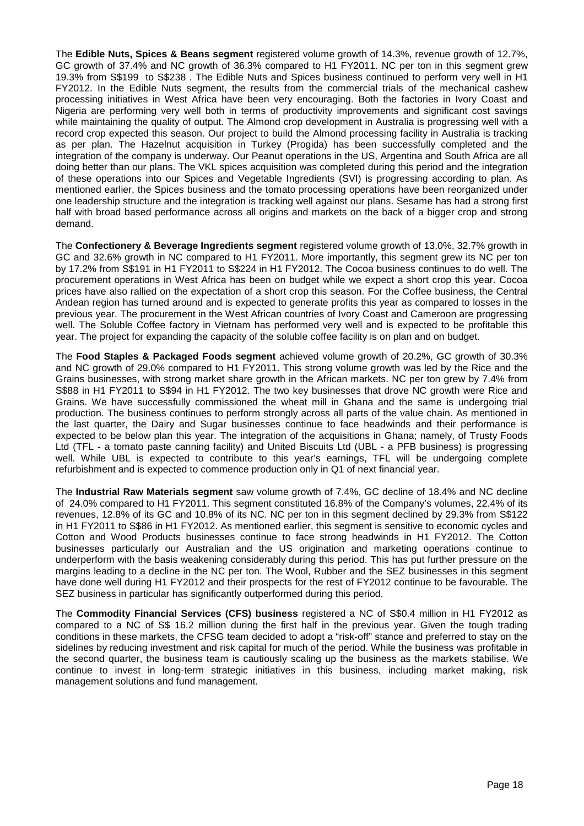The **Edible Nuts, Spices & Beans segment** registered volume growth of 14.3%, revenue growth of 12.7%, GC growth of 37.4% and NC growth of 36.3% compared to H1 FY2011. NC per ton in this segment grew 19.3% from S\$199 to S\$238 . The Edible Nuts and Spices business continued to perform very well in H1 FY2012. In the Edible Nuts segment, the results from the commercial trials of the mechanical cashew processing initiatives in West Africa have been very encouraging. Both the factories in Ivory Coast and Nigeria are performing very well both in terms of productivity improvements and significant cost savings while maintaining the quality of output. The Almond crop development in Australia is progressing well with a record crop expected this season. Our project to build the Almond processing facility in Australia is tracking as per plan. The Hazelnut acquisition in Turkey (Progida) has been successfully completed and the integration of the company is underway. Our Peanut operations in the US, Argentina and South Africa are all doing better than our plans. The VKL spices acquisition was completed during this period and the integration of these operations into our Spices and Vegetable Ingredients (SVI) is progressing according to plan. As mentioned earlier, the Spices business and the tomato processing operations have been reorganized under one leadership structure and the integration is tracking well against our plans. Sesame has had a strong first half with broad based performance across all origins and markets on the back of a bigger crop and strong demand.

The **Confectionery & Beverage Ingredients segment** registered volume growth of 13.0%, 32.7% growth in GC and 32.6% growth in NC compared to H1 FY2011. More importantly, this segment grew its NC per ton by 17.2% from S\$191 in H1 FY2011 to S\$224 in H1 FY2012. The Cocoa business continues to do well. The procurement operations in West Africa has been on budget while we expect a short crop this year. Cocoa prices have also rallied on the expectation of a short crop this season. For the Coffee business, the Central Andean region has turned around and is expected to generate profits this year as compared to losses in the previous year. The procurement in the West African countries of Ivory Coast and Cameroon are progressing well. The Soluble Coffee factory in Vietnam has performed very well and is expected to be profitable this year. The project for expanding the capacity of the soluble coffee facility is on plan and on budget. Ī

The **Food Staples & Packaged Foods segment** achieved volume growth of 20.2%, GC growth of 30.3% and NC growth of 29.0% compared to H1 FY2011. This strong volume growth was led by the Rice and the Grains businesses, with strong market share growth in the African markets. NC per ton grew by 7.4% from S\$88 in H1 FY2011 to S\$94 in H1 FY2012. The two key businesses that drove NC growth were Rice and Grains. We have successfully commissioned the wheat mill in Ghana and the same is undergoing trial production. The business continues to perform strongly across all parts of the value chain. As mentioned in the last quarter, the Dairy and Sugar businesses continue to face headwinds and their performance is expected to be below plan this year. The integration of the acquisitions in Ghana; namely, of Trusty Foods Ltd (TFL - a tomato paste canning facility) and United Biscuits Ltd (UBL - a PFB business) is progressing well. While UBL is expected to contribute to this year's earnings, TFL will be undergoing complete refurbishment and is expected to commence production only in Q1 of next financial year.

The **Industrial Raw Materials segment** saw volume growth of 7.4%, GC decline of 18.4% and NC decline of 24.0% compared to H1 FY2011. This segment constituted 16.8% of the Company's volumes, 22.4% of its revenues, 12.8% of its GC and 10.8% of its NC. NC per ton in this segment declined by 29.3% from S\$122 in H1 FY2011 to S\$86 in H1 FY2012. As mentioned earlier, this segment is sensitive to economic cycles and Cotton and Wood Products businesses continue to face strong headwinds in H1 FY2012. The Cotton businesses particularly our Australian and the US origination and marketing operations continue to underperform with the basis weakening considerably during this period. This has put further pressure on the margins leading to a decline in the NC per ton. The Wool, Rubber and the SEZ businesses in this segment have done well during H1 FY2012 and their prospects for the rest of FY2012 continue to be favourable. The SEZ business in particular has significantly outperformed during this period.

The **Commodity Financial Services (CFS) business** registered a NC of S\$0.4 million in H1 FY2012 as compared to a NC of S\$ 16.2 million during the first half in the previous year. Given the tough trading conditions in these markets, the CFSG team decided to adopt a "risk-off" stance and preferred to stay on the sidelines by reducing investment and risk capital for much of the period. While the business was profitable in the second quarter, the business team is cautiously scaling up the business as the markets stabilise. We continue to invest in long-term strategic initiatives in this business, including market making, risk management solutions and fund management.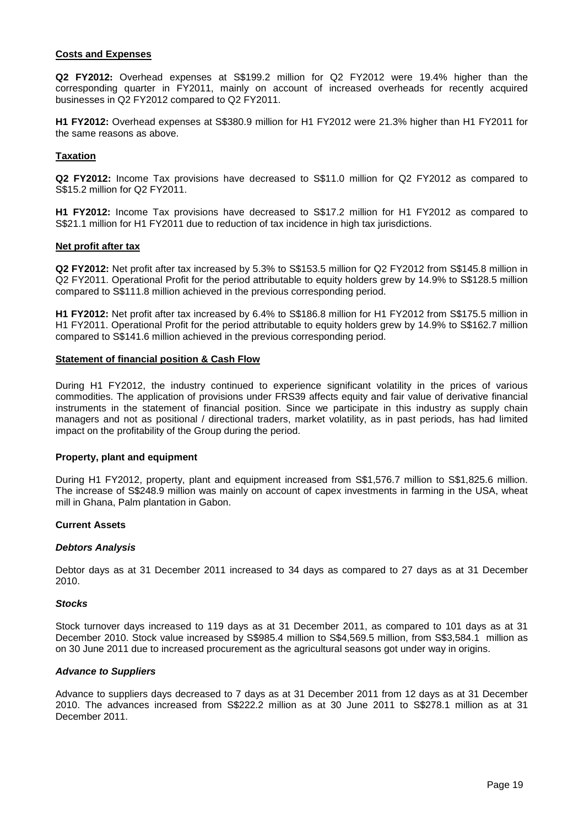#### **Costs and Expenses**

**Q2 FY2012:** Overhead expenses at S\$199.2 million for Q2 FY2012 were 19.4% higher than the corresponding quarter in FY2011, mainly on account of increased overheads for recently acquired businesses in Q2 FY2012 compared to Q2 FY2011.

**H1 FY2012:** Overhead expenses at S\$380.9 million for H1 FY2012 were 21.3% higher than H1 FY2011 for the same reasons as above.

#### **Taxation**

**Q2 FY2012:** Income Tax provisions have decreased to S\$11.0 million for Q2 FY2012 as compared to S\$15.2 million for Q2 FY2011.

**H1 FY2012:** Income Tax provisions have decreased to S\$17.2 million for H1 FY2012 as compared to S\$21.1 million for H1 FY2011 due to reduction of tax incidence in high tax jurisdictions.

#### **Net profit after tax**

**Q2 FY2012:** Net profit after tax increased by 5.3% to S\$153.5 million for Q2 FY2012 from S\$145.8 million in Q2 FY2011. Operational Profit for the period attributable to equity holders grew by 14.9% to S\$128.5 million compared to S\$111.8 million achieved in the previous corresponding period.

**H1 FY2012:** Net profit after tax increased by 6.4% to S\$186.8 million for H1 FY2012 from S\$175.5 million in H1 FY2011. Operational Profit for the period attributable to equity holders grew by 14.9% to S\$162.7 million compared to S\$141.6 million achieved in the previous corresponding period.

#### **Statement of financial position & Cash Flow**

During H1 FY2012, the industry continued to experience significant volatility in the prices of various commodities. The application of provisions under FRS39 affects equity and fair value of derivative financial instruments in the statement of financial position. Since we participate in this industry as supply chain managers and not as positional / directional traders, market volatility, as in past periods, has had limited impact on the profitability of the Group during the period.

#### **Property, plant and equipment**

During H1 FY2012, property, plant and equipment increased from S\$1,576.7 million to S\$1,825.6 million. The increase of S\$248.9 million was mainly on account of capex investments in farming in the USA, wheat mill in Ghana, Palm plantation in Gabon.

#### **Current Assets**

#### **Debtors Analysis**

Debtor days as at 31 December 2011 increased to 34 days as compared to 27 days as at 31 December 2010.

#### **Stocks**

Stock turnover days increased to 119 days as at 31 December 2011, as compared to 101 days as at 31 December 2010. Stock value increased by S\$985.4 million to S\$4,569.5 million, from S\$3,584.1 million as on 30 June 2011 due to increased procurement as the agricultural seasons got under way in origins.

#### **Advance to Suppliers**

Advance to suppliers days decreased to 7 days as at 31 December 2011 from 12 days as at 31 December 2010. The advances increased from S\$222.2 million as at 30 June 2011 to S\$278.1 million as at 31 December 2011.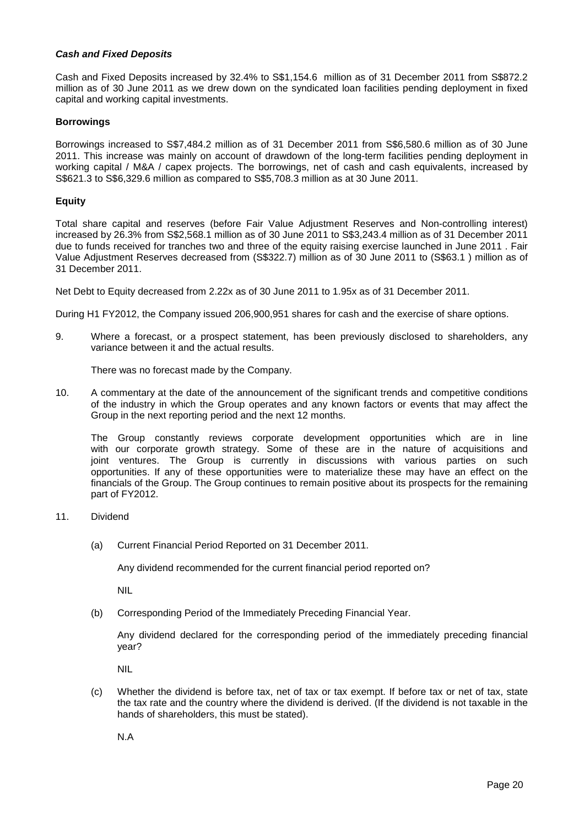## **Cash and Fixed Deposits**

Cash and Fixed Deposits increased by 32.4% to S\$1,154.6 million as of 31 December 2011 from S\$872.2 million as of 30 June 2011 as we drew down on the syndicated loan facilities pending deployment in fixed capital and working capital investments.

#### **Borrowings**

Borrowings increased to S\$7,484.2 million as of 31 December 2011 from S\$6,580.6 million as of 30 June 2011. This increase was mainly on account of drawdown of the long-term facilities pending deployment in working capital / M&A / capex projects. The borrowings, net of cash and cash equivalents, increased by S\$621.3 to S\$6,329.6 million as compared to S\$5,708.3 million as at 30 June 2011.

## **Equity**

Total share capital and reserves (before Fair Value Adjustment Reserves and Non-controlling interest) increased by 26.3% from S\$2,568.1 million as of 30 June 2011 to S\$3,243.4 million as of 31 December 2011 due to funds received for tranches two and three of the equity raising exercise launched in June 2011 . Fair Value Adjustment Reserves decreased from (S\$322.7) million as of 30 June 2011 to (S\$63.1 ) million as of 31 December 2011.

Net Debt to Equity decreased from 2.22x as of 30 June 2011 to 1.95x as of 31 December 2011.

During H1 FY2012, the Company issued 206,900,951 shares for cash and the exercise of share options.

9. Where a forecast, or a prospect statement, has been previously disclosed to shareholders, any variance between it and the actual results.

There was no forecast made by the Company.

10. A commentary at the date of the announcement of the significant trends and competitive conditions of the industry in which the Group operates and any known factors or events that may affect the Group in the next reporting period and the next 12 months.

The Group constantly reviews corporate development opportunities which are in line with our corporate growth strategy. Some of these are in the nature of acquisitions and joint ventures. The Group is currently in discussions with various parties on such opportunities. If any of these opportunities were to materialize these may have an effect on the financials of the Group. The Group continues to remain positive about its prospects for the remaining part of FY2012.

- 11. Dividend
	- (a) Current Financial Period Reported on 31 December 2011.

Any dividend recommended for the current financial period reported on?

NIL

(b) Corresponding Period of the Immediately Preceding Financial Year.

Any dividend declared for the corresponding period of the immediately preceding financial year?

NIL

(c) Whether the dividend is before tax, net of tax or tax exempt. If before tax or net of tax, state the tax rate and the country where the dividend is derived. (If the dividend is not taxable in the hands of shareholders, this must be stated).

N.A